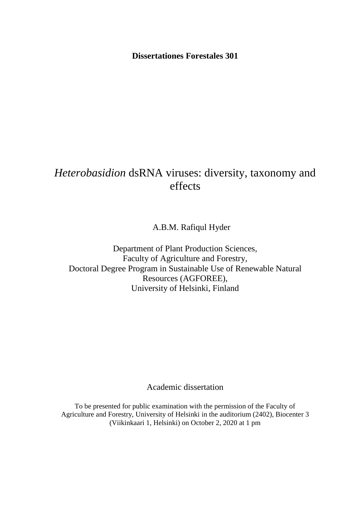**Dissertationes Forestales 301**

# *Heterobasidion* dsRNA viruses: diversity, taxonomy and effects

A.B.M. Rafiqul Hyder

Department of Plant Production Sciences, Faculty of Agriculture and Forestry, Doctoral Degree Program in Sustainable Use of Renewable Natural Resources (AGFOREE), University of Helsinki, Finland

Academic dissertation

To be presented for public examination with the permission of the Faculty of Agriculture and Forestry, University of Helsinki in the auditorium (2402), Biocenter 3 (Viikinkaari 1, Helsinki) on October 2, 2020 at 1 pm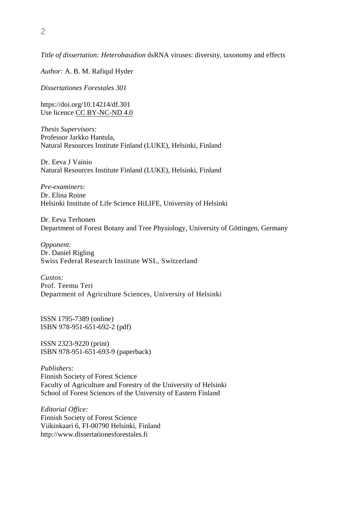*Title of dissertation: Heterobasidion* dsRNA viruses: diversity, taxonomy and effects

*Author:* A. B. M. Rafiqul Hyder

*Dissertationes Forestales 301* 

<https://doi.org/10.14214/df.301> Use licence [CC BY-NC-ND 4.0](https://creativecommons.org/licenses/by-nc-nd/4.0/) 

*Thesis Supervisors*: Professor Jarkko Hantula, Natural Resources Institute Finland (LUKE), Helsinki, Finland

Dr. Eeva J Vainio Natural Resources Institute Finland (LUKE), Helsinki, Finland

*Pre-examiners:*  Dr. Elina Roine Helsinki Institute of Life Science HiLIFE, University of Helsinki

Dr. Eeva Terhonen Department of Forest Botany and Tree Physiology, University of Göttingen, Germany

*Opponent:*  Dr. Daniel Rigling Swiss Federal Research Institute WSL, Switzerland

*Custos:*  Prof. Teemu Teri Department of Agriculture Sciences, University of Helsinki

ISSN 1795-7389 (online) ISBN 978-951-651-692-2 (pdf)

ISSN 2323-9220 (print) ISBN 978-951-651-693-9 (paperback)

*Publishers:*  Finnish Society of Forest Science Faculty of Agriculture and Forestry of the University of Helsinki School of Forest Sciences of the University of Eastern Finland

*Editorial Office:*  Finnish Society of Forest Science Viikinkaari 6, FI-00790 Helsinki, Finland http://www.dissertationesforestales.fi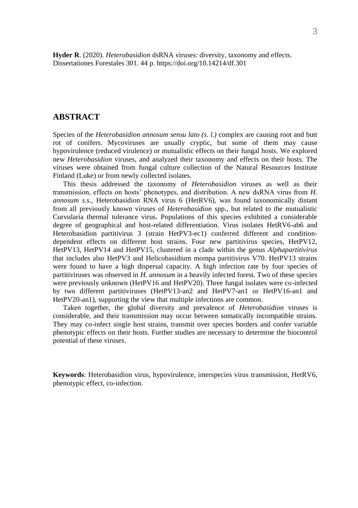**Hyder R**. (2020). *Heterobasidion* dsRNA viruses: diversity, taxonomy and effects. Dissertationes Forestales 301. 44 p. https://doi.org/10.14214/df.301

### <span id="page-2-0"></span>**ABSTRACT**

Species of the *Heterobasidion annosum sensu lato (s. l.)* complex are causing root and butt rot of conifers. Mycoviruses are usually cryptic, but some of them may cause hypovirulence (reduced virulence) or mutualistic effects on their fungal hosts. We explored new *Heterobasidion* viruses, and analyzed their taxonomy and effects on their hosts. The viruses were obtained from fungal culture collection of the Natural Resources Institute Finland (Luke) or from newly collected isolates.

This thesis addressed the taxonomy of *Heterobasidion* viruses as well as their transmission, effects on hosts' phenotypes, and distribution. A new dsRNA virus from *H. annosum s.s.,* Heterobasidion RNA virus 6 (HetRV6), was found taxonomically distant from all previously known viruses of *Heterobasidion* spp., but related to the mutualistic Curvularia thermal tolerance virus. Populations of this species exhibited a considerable degree of geographical and host-related differentiation. Virus isolates HetRV6-ab6 and Heterobasidion partitivirus 3 (strain HetPV3-ec1) conferred different and conditiondependent effects on different host strains. Four new partitivirus species, HetPV12, HetPV13, HetPV14 and HetPV15, clustered in a clade within the genus *Alphapartitivirus* that includes also HetPV3 and Helicobasidium mompa partitivirus V70. HetPV13 strains were found to have a high dispersal capacity. A high infection rate by four species of partitiviruses was observed in *H. annosum* in a heavily infected forest. Two of these species were previously unknown (HetPV16 and HetPV20). Three fungal isolates were co-infected by two different partitiviruses (HetPV13-an2 and HetPV7-an1 or HetPV16-an1 and HetPV20-an1), supporting the view that multiple infections are common.

Taken together, the global diversity and prevalence of *Heterobasidion* viruses is considerable, and their transmission may occur between somatically incompatible strains. They may co-infect single host strains, transmit over species borders and confer variable phenotypic effects on their hosts. Further studies are necessary to determine the biocontrol potential of these viruses.

**Keywords**: Heterobasidion virus, hypovirulence, interspecies virus transmission, HetRV6, phenotypic effect, co-infection.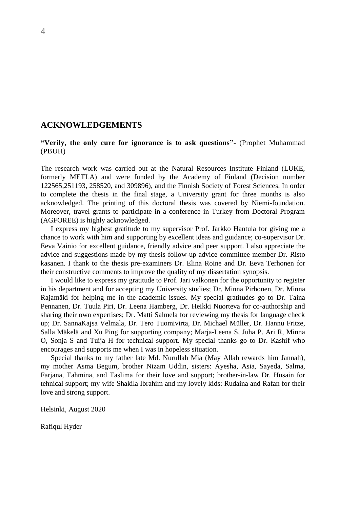## <span id="page-3-0"></span>**ACKNOWLEDGEMENTS**

**"Verily, the only cure for ignorance is to ask questions"-** (Prophet Muhammad (PBUH)

The research work was carried out at the Natural Resources Institute Finland (LUKE, formerly METLA) and were funded by the Academy of Finland (Decision number 122565,251193, 258520, and 309896), and the Finnish Society of Forest Sciences. In order to complete the thesis in the final stage, a University grant for three months is also acknowledged. The printing of this doctoral thesis was covered by Niemi-foundation. Moreover, travel grants to participate in a conference in Turkey from Doctoral Program (AGFOREE) is highly acknowledged.

I express my highest gratitude to my supervisor Prof. Jarkko Hantula for giving me a chance to work with him and supporting by excellent ideas and guidance; co-supervisor Dr. Eeva Vainio for excellent guidance, friendly advice and peer support. I also appreciate the advice and suggestions made by my thesis follow-up advice committee member Dr. Risto kasanen. I thank to the thesis pre-examiners Dr. Elina Roine and Dr. Eeva Terhonen for their constructive comments to improve the quality of my dissertation synopsis.

I would like to express my gratitude to Prof. Jari valkonen for the opportunity to register in his department and for accepting my University studies; Dr. Minna Pirhonen, Dr. Minna Rajamäki for helping me in the academic issues. My special gratitudes go to Dr. Taina Pennanen, Dr. Tuula Piri, Dr. Leena Hamberg, Dr. Heikki Nuorteva for co-authorship and sharing their own expertises; Dr. Matti Salmela for reviewing my thesis for language check up; Dr. SannaKajsa Velmala, Dr. Tero Tuomivirta, Dr. Michael Müller, Dr. Hannu Fritze, Salla Mäkelä and Xu Ping for supporting company; Marja-Leena S, Juha P. Ari R, Minna O, Sonja S and Tuija H for technical support. My special thanks go to Dr. Kashif who encourages and supports me when I was in hopeless situation.

Special thanks to my father late Md. Nurullah Mia (May Allah rewards him Jannah), my mother Asma Begum, brother Nizam Uddin, sisters: Ayesha, Asia, Sayeda, Salma, Farjana, Tahmina, and Taslima for their love and support; brother-in-law Dr. Husain for tehnical support; my wife Shakila Ibrahim and my lovely kids: Rudaina and Rafan for their love and strong support.

Helsinki, August 2020

Rafiqul Hyder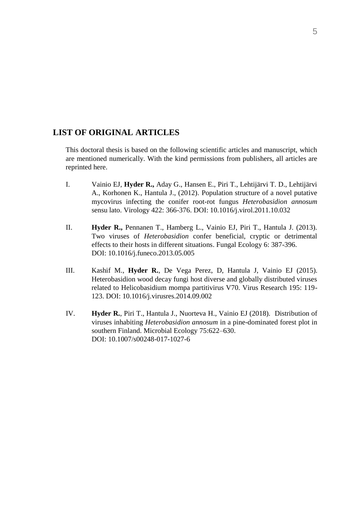## <span id="page-4-0"></span>**LIST OF ORIGINAL ARTICLES**

This doctoral thesis is based on the following scientific articles and manuscript, which are mentioned numerically. With the kind permissions from publishers, all articles are reprinted here.

- I. Vainio EJ, **Hyder R.,** Aday G., Hansen E., Piri T., Lehtijärvi T. D., Lehtijärvi A., Korhonen K., Hantula J., (2012). Population structure of a novel putative mycovirus infecting the conifer root-rot fungus *Heterobasidion annosum* sensu lato. Virology 422: 366-376. [DOI: 10.1016/j.virol.2011.10.032](https://doi.org/10.1016/j.virol.2011.10.032)
- II. **Hyder R.,** Pennanen T., Hamberg L., Vainio EJ, Piri T., Hantula J. (2013). Two viruses of *Heterobasidion* confer beneficial, cryptic or detrimental effects to their hosts in different situations. Fungal Ecology 6: 387-396. [DOI: 10.1016/j.funeco.2013.05.005](https://doi.org/10.1016/j.funeco.2013.05.005)
- III. Kashif M., **Hyder R.**, De Vega Perez, D, Hantula J, Vainio EJ (2015). Heterobasidion wood decay fungi host diverse and globally distributed viruses related to Helicobasidium mompa partitivirus V70. Virus Research 195: 119- 123. DOI: [10.1016/j.virusres.2014.09.002](https://doi.org/10.1016/j.virusres.2014.09.002)
- IV. **Hyder R.**, Piri T., Hantula J., Nuorteva H., Vainio EJ (2018). Distribution of viruses inhabiting *Heterobasidion annosum* in a pine-dominated forest plot in southern Finland. Microbial Ecology 75:622–630. [DOI: 10.1007/s00248-017-1027-6](https://doi.org/10.1007/s00248-017-1027-6)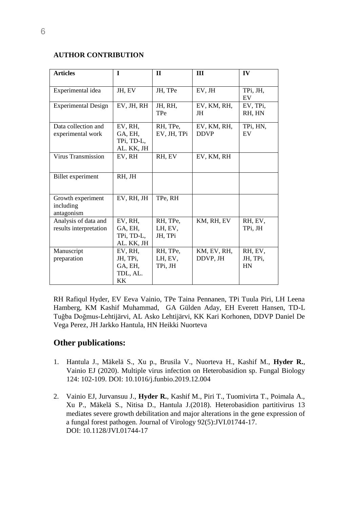## **AUTHOR CONTRIBUTION**

| <b>Articles</b>                                | $\mathbf{I}$                                      | $\mathbf{I}$                   | III                        | IV                               |
|------------------------------------------------|---------------------------------------------------|--------------------------------|----------------------------|----------------------------------|
| Experimental idea                              | JH, EV                                            | JH, TPe                        | EV, JH                     | TPi, JH,<br>EV                   |
| <b>Experimental Design</b>                     | EV, JH, RH                                        | JH, RH,<br>TPe                 | EV, KM, RH,<br>JH          | EV, TPi,<br>RH, HN               |
| Data collection and<br>experimental work       | EV. RH.<br>GA, EH.<br>TPi, TD-L,<br>AL. KK, JH    | RH, TPe,<br>EV, JH, TPi        | EV, KM, RH,<br><b>DDVP</b> | TPi, HN,<br><b>FV</b>            |
| Virus Transmission                             | EV, RH                                            | RH, EV                         | EV, KM, RH                 |                                  |
| Billet experiment                              | RH. JH                                            |                                |                            |                                  |
| Growth experiment<br>including<br>antagonism   | EV, RH, JH                                        | TPe, RH                        |                            |                                  |
| Analysis of data and<br>results interpretation | EV, RH,<br>GA, EH.<br>TPi, TD-L,<br>AL. KK, JH    | RH, TPe,<br>LH, EV,<br>JH, TPi | KM, RH, EV                 | RH, EV,<br>TPi, JH               |
| Manuscript<br>preparation                      | EV, RH,<br>JH, TPi,<br>GA, EH,<br>TDL, AL.<br>KK. | RH, TPe,<br>LH, EV,<br>TPi. JH | KM, EV, RH,<br>DDVP, JH    | RH, EV,<br>JH, TPi,<br><b>HN</b> |

RH Rafiqul Hyder, EV Eeva Vainio, TPe Taina Pennanen, TPi Tuula Piri, LH Leena Hamberg, KM Kashif Muhammad, GA Gülden Aday, EH Everett Hansen, TD-L Tuğba Doğmus-Lehtijärvi, AL Asko Lehtijärvi, KK Kari Korhonen, DDVP Daniel De Vega Perez, JH Jarkko Hantula, HN Heikki Nuorteva

## **Other publications:**

- 1. Hantula J., Mäkelä S., Xu p., Brusila V., Nuorteva H., Kashif M., **Hyder R.**, Vainio EJ (2020). Multiple virus infection on Heterobasidion sp. Fungal Biology 124: 102-109. [DOI: 10.1016/j.funbio.2019.12.004](https://doi.org/10.1016/j.funbio.2019.12.004)
- 2. Vainio EJ, Jurvansuu J., **Hyder R.**, Kashif M., Piri T., Tuomivirta T., Poimala A., Xu P., Mäkelä S., Nitisa D., Hantula J.(2018). Heterobasidion partitivirus 13 mediates severe growth debilitation and major alterations in the gene expression of a fungal forest pathogen. Journal of Virology 92(5):JVI.01744-17. [DOI: 10.1128/JVI.01744-17](https://doi.org/10.1128/JVI.01744-17)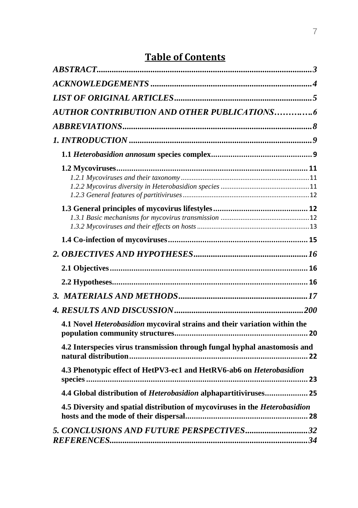# **Table of Contents**

| <b>AUTHOR CONTRIBUTION AND OTHER PUBLICATIONS6</b>                               |  |
|----------------------------------------------------------------------------------|--|
|                                                                                  |  |
|                                                                                  |  |
|                                                                                  |  |
|                                                                                  |  |
|                                                                                  |  |
|                                                                                  |  |
|                                                                                  |  |
|                                                                                  |  |
|                                                                                  |  |
|                                                                                  |  |
|                                                                                  |  |
| 4.1 Novel <i>Heterobasidion</i> mycoviral strains and their variation within the |  |
| 4.2 Interspecies virus transmission through fungal hyphal anastomosis and        |  |
| 4.3 Phenotypic effect of HetPV3-ec1 and HetRV6-ab6 on Heterobasidion             |  |
| 4.4 Global distribution of <i>Heterobasidion</i> alphapartitiviruses 25          |  |
| 4.5 Diversity and spatial distribution of mycoviruses in the Heterobasidion      |  |
| 5. CONCLUSIONS AND FUTURE PERSPECTIVES32                                         |  |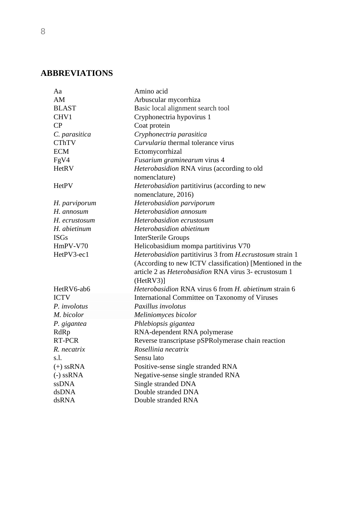# <span id="page-7-0"></span>**ABBREVIATIONS**

| Aa                  | Amino acid                                                               |
|---------------------|--------------------------------------------------------------------------|
| AM                  | Arbuscular mycorrhiza                                                    |
| <b>BLAST</b>        | Basic local alignment search tool                                        |
| CHV1                | Cryphonectria hypovirus 1                                                |
| $\rm CP$            | Coat protein                                                             |
| C. parasitica       | Cryphonectria parasitica                                                 |
| <b>CThTV</b>        | Curvularia thermal tolerance virus                                       |
| <b>ECM</b>          | Ectomycorrhizal                                                          |
| FgV4                | Fusarium graminearum virus 4                                             |
| HetRV               | Heterobasidion RNA virus (according to old<br>nomenclature)              |
| <b>HetPV</b>        | Heterobasidion partitivirus (according to new<br>nomenclature, 2016)     |
| H. parviporum       | Heterobasidion parviporum                                                |
| H. annosum          | Heterobasidion annosum                                                   |
| H. ecrustosum       | Heterobasidion ecrustosum                                                |
| H. abietinum        | Heterobasidion abietinum                                                 |
| <b>ISGs</b>         | <b>InterSterile Groups</b>                                               |
| HmPV-V70            | Helicobasidium mompa partitivirus V70                                    |
| HetPV3-ec1          | Heterobasidion partitivirus 3 from H.ecrustosum strain 1                 |
|                     | (According to new ICTV classification) [Mentioned in the                 |
|                     | article 2 as <i>Heterobasidion</i> RNA virus 3- ecrustosum 1<br>(HetN3)] |
| HetRV6-ab6          | Heterobasidion RNA virus 6 from H. abietinum strain 6                    |
| <b>ICTV</b>         | International Committee on Taxonomy of Viruses                           |
| P. <i>involotus</i> | Paxillus involotus                                                       |
| M. bicolor          | Meliniomyces bicolor                                                     |
| P. gigantea         | Phlebiopsis gigantea                                                     |
| RdRp                | RNA-dependent RNA polymerase                                             |
| RT-PCR              | Reverse transcriptase pSPRolymerase chain reaction                       |
| R. necatrix         | Rosellinia necatrix                                                      |
| s.1.                | Sensu lato                                                               |
| $(+)$ ssRNA         | Positive-sense single stranded RNA                                       |
| $(-)$ ssRNA         | Negative-sense single stranded RNA                                       |
| ssDNA               | Single stranded DNA                                                      |
| dsDNA               | Double stranded DNA                                                      |
| dsRNA               | Double stranded RNA                                                      |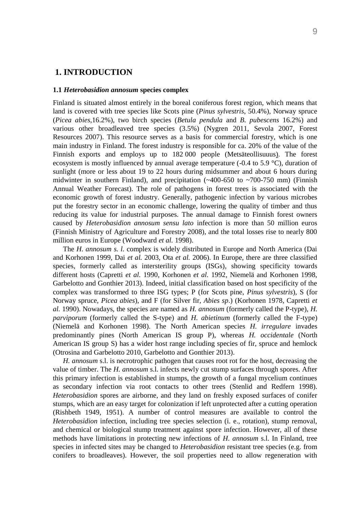## <span id="page-8-0"></span>**1. INTRODUCTION**

#### <span id="page-8-1"></span>**1.1** *Heterobasidion annosum* **species complex**

Finland is situated almost entirely in the boreal coniferous forest region, which means that land is covered with tree species like Scots pine (*Pinus sylvestris*, 50.4%), Norway spruce (*Picea abies,*16.2%), two birch species (*Betula pendula* and *B. pubescens* 16.2%) and various other broadleaved tree species (3.5%) (Nygren 2011, Sevola 2007, Forest Resources 2007). This resource serves as a basis for commercial forestry, which is one main industry in Finland. The forest industry is responsible for ca. 20% of the value of the Finnish exports and employs up to 182 000 people (Metsäteollisuuus). The forest ecosystem is mostly influenced by annual average temperature (-0.4 to 5.9  $\degree$ C), duration of sunlight (more or less about 19 to 22 hours during midsummer and about 6 hours during midwinter in southern Finland), and precipitation  $(\sim 400 - 650)$  to  $\sim 700 - 750$  mm) (Finnish Annual Weather Forecast). The role of pathogens in forest trees is associated with the economic growth of forest industry. Generally, pathogenic infection by various microbes put the forestry sector in an economic challenge, lowering the quality of timber and thus reducing its value for industrial purposes. The annual damage to Finnish forest owners caused by *Heterobasidion annosum sensu lato* infection is more than 50 million euros (Finnish Ministry of Agriculture and Forestry 2008), and the total losses rise to nearly 800 million euros in Europe (Woodward *et al.* 1998).

The *H. annosum s. l.* complex is widely distributed in Europe and North America (Dai and Korhonen 1999, Dai *et al.* 2003, Ota *et al.* 2006). In Europe, there are three classified species, formerly called as intersterility groups (ISGs), showing specificity towards different hosts (Capretti *et al.* 1990, Korhonen *et al.* 1992, Niemelä and Korhonen 1998, Garbelotto and Gonthier 2013). Indeed, initial classification based on host specificity of the complex was transformed to three ISG types; P (for Scots pine, *Pinus sylvestris*), S (for Norway spruce, *Picea abies*), and F (for Silver fir, *Abies sp*.) (Korhonen 1978, Capretti *et al.* 1990). Nowadays, the species are named as *H. annosum* (formerly called the P-type), *H. parviporum* (formerly called the S-type) and *H. abietinum* (formerly called the F-type) (Niemelä and Korhonen 1998). The North American species *H. irregulare* invades predominantly pines (North American IS group P), whereas *H. occidentale* (North American IS group S) has a wider host range including species of fir, spruce and hemlock (Otrosina and Garbelotto 2010, Garbelotto and Gonthier 2013).

*H. annosum* s.l. is necrotrophic pathogen that causes root rot for the host, decreasing the value of timber. The *H. annosum* s.l. infects newly cut stump surfaces through spores. After this primary infection is established in stumps, the growth of a fungal mycelium continues as secondary infection via root contacts to other trees (Stenlid and Redfern 1998). *Heterobasidion* spores are airborne, and they land on freshly exposed surfaces of conifer stumps, which are an easy target for colonization if left unprotected after a cutting operation (Rishbeth 1949, 1951). A number of control measures are available to control the *Heterobasidion* infection, including tree species selection (i. e., rotation), stump removal, and chemical or biological stump treatment against spore infection. However, all of these methods have limitations in protecting new infections of *H. annosum* s.l. In Finland, tree species in infected sites may be changed to *Heterobasidion* resistant tree species (e.g. from conifers to broadleaves). However, the soil properties need to allow regeneration with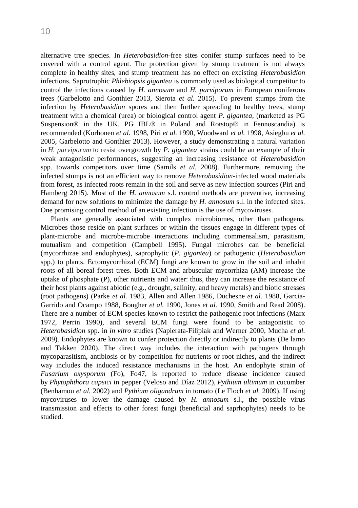alternative tree species. In *Heterobasidion*-free sites conifer stump surfaces need to be covered with a control agent. The protection given by stump treatment is not always complete in healthy sites, and stump treatment has no effect on excisting *Heterobasidion* infections. Saprotrophic *Phlebiopsis gigantea* is commonly used as biological competitor to control the infections caused by *H. annosum* and *H. parviporum* in European coniferous trees (Garbelotto and Gonthier 2013, Sierota *et al.* 2015). To prevent stumps from the infection by *Heterobasidion* spores and then further spreading to healthy trees, stump treatment with a chemical (urea) or biological control agent *P. gigantea*, (marketed as PG Suspension® in the UK, PG IBL® in Poland and Rotstop® in Fennoscandia) is recommended (Korhonen *et al.* 1998, Piri *et al.* 1990, Woodward *et al.* 1998, Asiegbu *et al.* 2005, Garbelotto and Gonthier 2013). However, a study demonstrating a natural variation in *H. parviporum* to resist overgrowth by *P. gigantea* strains could be an example of their weak antagonistic performances, suggesting an increasing resistance of *Heterobasidion* spp. towards competitors over time (Samils *et al.* 2008). Furthermore, removing the infected stumps is not an efficient way to remove *Heterobasidion*-infected wood materials from forest, as infected roots remain in the soil and serve as new infection sources (Piri and Hamberg 2015). Most of the *H. annosum* s.l. control methods are preventive, increasing demand for new solutions to minimize the damage by *H. annosum* s.l. in the infected sites. One promising control method of an existing infection is the use of mycoviruses.

Plants are generally associated with complex microbiomes, other than pathogens. Microbes those reside on plant surfaces or within the tissues engage in different types of plant-microbe and microbe-microbe interactions including commensalism, parasitism, mutualism and competition (Campbell 1995). Fungal microbes can be beneficial (mycorrhizae and endophytes), saprophytic (*P. gigantea*) or pathogenic (*Heterobasidion* spp.) to plants. Ectomycorrhizal (ECM) fungi are known to grow in the soil and inhabit roots of all boreal forest trees. Both ECM and arbuscular mycorrhiza (AM) increase the uptake of phosphate (P), other nutrients and water: thus, they can increase the resistance of their host plants against abiotic (e.g., drought, salinity, and heavy metals) and biotic stresses (root pathogens) (Parke *et al.* 1983, Allen and Allen 1986, Duchesne *et al.* 1988, Garcia-Garrido and Ocampo 1988, Bougher *et al.* 1990, Jones *et al.* 1990, Smith and Read 2008). There are a number of ECM species known to restrict the pathogenic root infections (Marx 1972, Perrin 1990), and several ECM fungi were found to be antagonistic to *Heterobasidion* spp. in *in vitro* studies (Napierata-Filipiak and Werner 2000, Mucha *et al.* 2009). Endophytes are known to confer protection directly or indirectly to plants (De lamo and Takken 2020). The direct way includes the interaction with pathogens through mycoparasitism, antibiosis or by competition for nutrients or root niches, and the indirect way includes the induced resistance mechanisms in the host. An endophyte strain of *Fusarium oxysporum* (Fo), Fo47, is reported to reduce disease incidence caused by *Phytophthora capsici* in pepper [\(Veloso and Díaz 2012\)](https://www.frontiersin.org/articles/10.3389/fpls.2020.00037/full#B129), *Pythium ultimum* in cucumber [\(Benhamou](https://www.frontiersin.org/articles/10.3389/fpls.2020.00037/full#B11) *et al.* 2002) and *Pythium oligandrum* in tomato [\(Le Floch](https://www.frontiersin.org/articles/10.3389/fpls.2020.00037/full#B75) *et al.* 2009). If using mycoviruses to lower the damage caused by *H. annosum* s.l., the possible virus transmission and effects to other forest fungi (beneficial and saprhophytes) needs to be studied.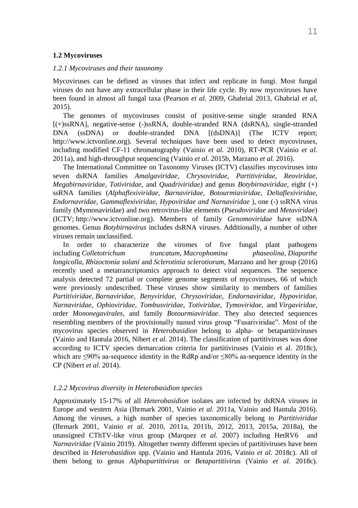#### <span id="page-10-0"></span>**1.2 Mycoviruses**

#### <span id="page-10-1"></span>*1.2.1 Mycoviruses and their taxonomy*

Mycoviruses can be defined as viruses that infect and replicate in fungi. Most fungal viruses do not have any extracellular phase in their life cycle. By now mycoviruses have been found in almost all fungal taxa (Pearson *et al.* 2009, Ghabrial 2013, Ghabrial *et al*, 2015).

The genomes of mycoviruses consist of positive-sense single stranded RNA [(+)ssRNA], negative-sense (-)ssRNA, double-stranded RNA (dsRNA), single-stranded DNA (ssDNA) or double-stranded DNA [(dsDNA)] (The ICTV report; http://www.ictvonline.org). Several techniques have been used to detect mycoviruses, including modified CF-11 chromatography (Vainio *et al.* 2010), RT-PCR (Vainio *et al.* 2011a), and high-throughput sequencing (Vainio *et al.* 2015b, Marzano *et al.* 2016).

The International Committee on Taxonomy Viruses (ICTV) classifies mycoviruses into seven dsRNA families *Amalgaviridae, Chrysoviridae, Partitiviridae, Reoviridae, Megabirnaviridae, Totiviridae,* and *Quadriviridae)* and genus *Botybirnaviridae*, eight (+) ssRNA families (*Alphaflexiviridae, Barnaviridae, Botourmiaviridae, Deltaflexiviridae, Endornavridae, Gammaflexiviridae, Hypoviridae and Narnaviridae* ), one (-) ssRNA virus family (Mymonaviridae) and two retrovirus-like elements (*Pseudoviridae* and *Metaviridae*) (ICTV; [http://www.ictvonline.org\)](http://www.ictvonline.org/). Members of family *Genomoviridae* have ssDNA genomes. Genus *Botybirnavirus* includes dsRNA viruses. Additionally, a number of other viruses remain unclassified.

In order to characterize the viromes of five fungal plant pathogens including *Colletotrichum truncatum*, *Macrophomina phaseolina*, *Diaporthe longicolla*, *Rhizoctonia solani* and *Sclerotinia sclerotiorum,* Marzano and her group (2016) recently used a metatrancriptomics approach to detect viral sequences*.* The sequence analysis detected 72 partial or complete genome segments of mycoviruses, 66 of which were previously undescribed. These viruses show similarity to members of families *Partitiviridae, Barnaviridae, Benyviridae, Chrysoviridae, Endornaviridae, Hypoviridae, Narnaviridae, Ophioviridae, Tombusviridae, Totiviridae, Tymoviridae,* and *Virgaviridae*, order *Mononegavirales,* and family *Botourmiaviridae*. They also detected sequences resembling members of the provisionally named virus group "Fusariviridae". Most of the mycovirus species observed in *Heterobasidion* belong to alpha- or betapartitiviruses (Vainio and Hantula 2016, Nibert *et al*. 2014). The classification of partitiviruses was done according to ICTV species demarcation criteria for partitiviruses (Vainio et al. 2018c), which are ≤90% aa-sequence identity in the RdRp and/or ≤80% aa-sequence identity in the CP (Nibert *et al*. 2014).

#### <span id="page-10-2"></span>*1.2.2 Mycovirus diversity in Heterobasidion species*

Approximately 15-17% of all *Heterobasidion* isolates are infected by dsRNA viruses in Europe and western Asia (Ihrmark 2001, Vainio *et al.* 2011a, Vainio and Hantula 2016). Among the viruses, a high number of species taxonomically belong to *Partitiviridae* (Ihrmark 2001, Vainio *et al.* 2010, 2011a, 2011b, 2012, 2013, 2015a, 2018a), the unassigned CThTV-like virus group (Marquez *et al.* 2007) including HetRV6 and *Narnaviridae* (Vainio 2019). Altogether twenty different species of partitiviruses have been described in *Heterobasidion* spp. (Vainio and Hantula 2016, Vainio *et al.* 2018c). All of them belong to genus *Alphapartitivirus* or *Betapartitivirus* (Vainio *et al.* 2018c).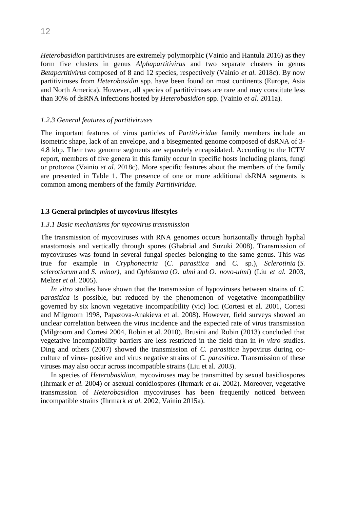*Heterobasidion* partitiviruses are extremely polymorphic (Vainio and Hantula 2016) as they form five clusters in genus *Alphapartitivirus* and two separate clusters in genus *Betapartitivirus* composed of 8 and 12 species, respectively (Vainio *et al.* 2018c). By now partitiviruses from *Heterobasidin* spp. have been found on most continents (Europe, Asia and North America). However, all species of partitiviruses are rare and may constitute less than 30% of dsRNA infections hosted by *Heterobasidion* spp. (Vainio *et al.* 2011a).

#### <span id="page-11-0"></span>*1.2.3 General features of partitiviruses*

The important features of virus particles of *Partitiviridae* family members include an isometric shape, lack of an envelope, and a bisegmented genome composed of dsRNA of 3- 4.8 kbp. Their two genome segments are separately encapsidated. According to the ICTV report, members of five genera in this family occur in specific hosts including plants, fungi or protozoa (Vainio *et al*. 2018c). More specific features about the members of the family are presented in Table 1. The presence of one or more additional dsRNA segments is common among members of the family *Partitiviridae*.

#### <span id="page-11-1"></span>**1.3 General principles of mycovirus lifestyles**

#### <span id="page-11-2"></span>*1.3.1 Basic mechanisms for mycovirus transmission*

The transmission of mycoviruses with RNA genomes occurs horizontally through hyphal anastomosis and vertically through spores (Ghabrial and Suzuki 2008). Transmission of mycoviruses was found in several fungal species belonging to the same genus. This was true for example in *Cryphonectria* (*C. parasitica* and *C.* sp.), *Sclerotinia* (*[S.](https://en.wikipedia.org/wiki/Sclerotinia_sclerotiorum)  [sclerotiorum](https://en.wikipedia.org/wiki/Sclerotinia_sclerotiorum)* and *S. minor)*, and *Ophistoma* (*O. ulmi* and *O. novo-ulmi*) (Liu *et al.* 2003, Melzer *et al.* 2005).

*In vitro* studies have shown that the transmission of hypoviruses between strains of *C. parasitica* is possible, but reduced by the phenomenon of vegetative incompatibility governed by six known vegetative incompatibility (vic) loci (Cortesi et al. 2001, [Cortesi](https://www.sciencedirect.com/science/article/pii/S0042682218303714#bib11)  [and Milgroom 1998,](https://www.sciencedirect.com/science/article/pii/S0042682218303714#bib11) Papazova-Anakieva et al. 2008). However, field surveys showed an unclear correlation between the virus incidence and the expected rate of virus transmission (Milgroom and Cortesi [2004,](https://bsppjournals.onlinelibrary.wiley.com/doi/10.1111/mpp.12542#mpp12542-bib-0111) Robin et al. [2010\)](https://bsppjournals.onlinelibrary.wiley.com/doi/10.1111/mpp.12542#mpp12542-bib-0141). Brusini and Robin (2013) concluded that vegetative incompatibility barriers are less restricted in the field than in *in vitro* studies. Ding and others (2007) showed the transmission of *C. parasitica* hypovirus during coculture of virus- positive and virus negative strains of *C. parasitica*. Transmission of these viruses may also occur across incompatible strains (Liu et al. [2003\)](https://www.ncbi.nlm.nih.gov/pmc/articles/PMC6542947/#B18).

In species of *Heterobasidion*, mycoviruses may be transmitted by sexual basidiospores (Ihrmark *et al.* 2004) or asexual conidiospores (Ihrmark *et al.* 2002). Moreover, vegetative transmission of *Heterobasidion* mycoviruses has been frequently noticed between incompatible strains (Ihrmark *et al.* 2002, Vainio 2015a).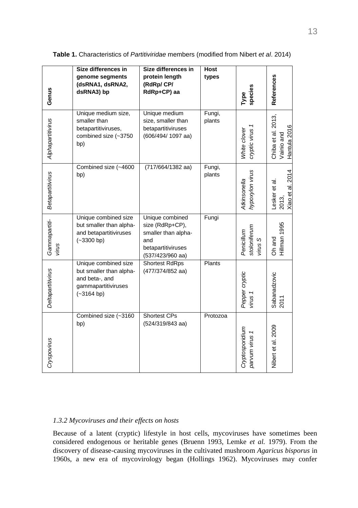|                        | Size differences in                                                                                      | Size differences in                                                                                        | Host             |                                       |                                                     |
|------------------------|----------------------------------------------------------------------------------------------------------|------------------------------------------------------------------------------------------------------------|------------------|---------------------------------------|-----------------------------------------------------|
| Genus                  | genome segments<br>(dsRNA1, dsRNA2,<br>dsRNA3) bp                                                        | protein length<br>(RdRp/ CP/<br>RdRp+CP) aa                                                                | types            | species<br>Туре                       | References                                          |
| Alphapartitivirus      | Unique medium size,<br>smaller than<br>betapartitiviruses,<br>combined size (~3750<br>bp)                | Unique medium<br>size, smaller than<br>betapartitiviruses<br>(606/494/ 1097 aa)                            | Fungi,<br>plants | cryptic virus 1<br>White clover       | 2013,<br>Hantula 2016<br>Chiba et al.<br>Vainio and |
| Betapartitivirus       | Combined size (~4600<br>bp)                                                                              | $(717/664/1382 \text{ aa})$                                                                                | Fungi,<br>plants | hypoxylon virus<br>Atkinsonella       | Xiao et al. 2014<br>Lesker et al.<br>2013,          |
| Gammapartiti-<br>virus | Unique combined size<br>but smaller than alpha-<br>and betapartitiviruses<br>$(-3300 bp)$                | Unique combined<br>size (RdRp+CP),<br>smaller than alpha-<br>and<br>betapartitiviruses<br>(537/423/960 aa) | Fungi            | stoloniferum<br>Penicillum<br>virus S | Hillman 1995<br>Oh and                              |
| Deltapartitivirus      | Unique combined size<br>but smaller than alpha-<br>and beta-, and<br>gammapartitiviruses<br>$(-3164 bp)$ | <b>Shortest RdRps</b><br>(477/374/852 aa)                                                                  | Plants           | Pepper cryptic<br>virus 1             | Sabanadzovic<br>2011                                |
| Cryspovirus            | Combined size (~3160<br>bp)                                                                              | Shortest CPs<br>(524/319/843 aa)                                                                           | Protozoa         | Cryptosporidium<br>parvum virus 1     | Nibert et al. 2009                                  |

**Table 1.** Characteristics of *Partitiviridae* members (modified from Nibert *et al*. 2014)

### <span id="page-12-0"></span>*1.3.2 Mycoviruses and their effects on hosts*

Because of a latent (cryptic) lifestyle in host cells, mycoviruses have sometimes been considered endogenous or heritable genes (Bruenn 1993, Lemke *et al.* 1979). From the discovery of disease-causing mycoviruses in the cultivated mushroom *Agaricus bisporus* in 1960s, a new era of mycovirology began (Hollings 1962). Mycoviruses may confer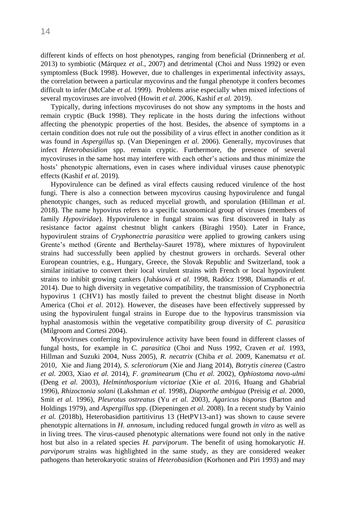different kinds of effects on host phenotypes, ranging from beneficial (Drinnenberg *et al.* 2013) to symbiotic (Márquez *et al.*, 2007) and detrimental (Choi and Nuss 1992) or even symptomless (Buck 1998). However, due to challenges in experimental infectivity assays, the correlation between a particular mycovirus and the fungal phenotype it confers becomes difficult to infer (McCabe *et al.* 1999). Problems arise especially when mixed infections of several mycoviruses are involved (Howitt *et al.* 2006, Kashif *et al.* 2019).

Typically, during infections mycoviruses do not show any symptoms in the hosts and remain cryptic (Buck 1998). They replicate in the hosts during the infections without affecting the phenotypic properties of the host. Besides, the absence of symptoms in a certain condition does not rule out the possibility of a virus effect in another condition as it was found in *Aspergillus* sp. (Van Diepeningen *et al.* 2006). Generally, mycoviruses that infect *Heterobasidion* spp. remain cryptic. Furthermore, the presence of several mycoviruses in the same host may interfere with each other's actions and thus minimize the hosts' phenotypic alternations, even in cases where individual viruses cause phenotypic effects (Kashif *et al.* 2019).

Hypovirulence can be defined as viral effects causing reduced virulence of the host fungi. There is also a connection between mycovirus causing hypovirulence and fungal phenotypic changes, such as reduced mycelial growth, and sporulation (Hillman *et al.* 2018). The name hypovirus refers to a specific taxonomical group of viruses (members of family *Hypoviridae*). Hypovirulence in fungal strains was first discovered in Italy as resistance factor against chestnut blight cankers (Biraghi 1950). Later in France, hypovirulent strains of *Cryphonectria parasitica* were applied to growing cankers using Grente's method (Grente and Berthelay-Sauret 1978), where mixtures of hypovirulent strains had successfully been applied by chestnut growers in orchards. Several other European countries, e.g., Hungary, Greece, the Slovak Republic and Switzerland, took a similar initiative to convert their local virulent strains with French or local hypovirulent strains to inhibit growing cankers (Juhásová *et al.* 1998, Radócz 1998, Diamandis *et al.* 2014). Due to high diversity in vegetative compatibility, the transmission of Cryphonectria hypovirus 1 (CHV1) has mostly failed to prevent the chestnut blight disease in North America (Choi *et al.* 2012). However, the diseases have been effectively suppressed by using the hypovirulent fungal strains in Europe due to the hypovirus transmission via hyphal anastomosis within the vegetative compatibility group diversity of *C. parasitica* (Milgroom and Cortesi 2004).

Mycoviruses conferring hypovirulence activity have been found in different classes of fungal hosts, for example in *C. parasitica* (Choi and Nuss 1992, Craven *et al.* 1993, Hillman and Suzuki 2004, Nuss 2005), *R. necatrix* (Chiba *et al.* 2009, Kanematsu *et al.* 2010, Xie and Jiang 2014), *S. sclerotiorum* (Xie and Jiang 2014), *Botrytis cinerea* (Castro *et al.* 2003, Xiao *et al.* 2014), *F. graminearum* (Chu *et al.* 2002), *Ophiostoma novo-ulmi* (Deng *et al.* 2003), *Helminthosporium victoriae* (Xie *et al.* 2016, Huang and Ghabrial 1996), *Rhizoctonia solani* (Lakshman *et al.* 1998), *Diaporthe ambigua* (Preisig *et al.* 2000, Smit *et al.* 1996), *Pleurotus ostreatus* (Yu *et al.* 2003), *Agaricus bisporus* (Barton and Holdings 1979), and *Aspergillus* spp. (Diepeningen *et al.* 2008). In a recent study by Vainio *et al.* (2018b), Heterobasidion partitivirus 13 (HetPV13-an1) was shown to cause severe phenotypic alternations in *H. annosum*, including reduced fungal growth *in vitro* as well as in living trees. The virus-caused phenotypic alternations were found not only in the native host but also in a related species *H. parviporum*. The benefit of using homokaryotic *H*. *parviporum* strains was highlighted in the same study, as they are considered weaker pathogens than heterokaryotic strains of *Heterobasidion* (Korhonen and Piri 1993) and may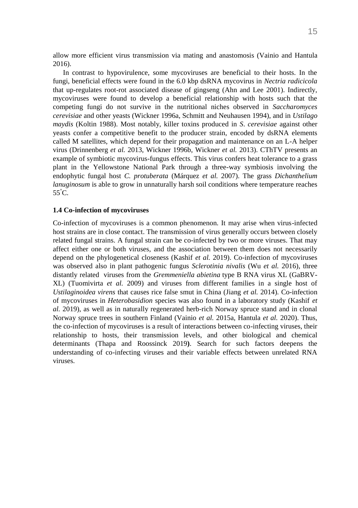allow more efficient virus transmission via mating and anastomosis (Vainio and Hantula 2016).

In contrast to hypovirulence, some mycoviruses are beneficial to their hosts. In the fungi, beneficial effects were found in the 6.0 kbp dsRNA mycovirus in *Nectria radicicola* that up-regulates root-rot associated disease of gingseng (Ahn and Lee 2001). Indirectly, mycoviruses were found to develop a beneficial relationship with hosts such that the competing fungi do not survive in the nutritional niches observed in *Saccharomyces cerevisiae* and other yeasts (Wickner 1996a, Schmitt and Neuhausen 1994), and in *Ustilago maydis* (Koltin 1988). Most notably, killer toxins produced in *S*. *cerevisiae* against other yeasts confer a competitive benefit to the producer strain, encoded by dsRNA elements called M satellites, which depend for their propagation and maintenance on an L-A helper virus (Drinnenberg *et al.* 2013, Wickner 1996b, Wickner *et al.* 2013). CThTV presents an example of symbiotic mycovirus-fungus effects. This virus confers heat tolerance to a grass plant in the Yellowstone National Park through a three-way symbiosis involving the endophytic fungal host *C. protuberata* (Márquez *et al.* 2007). The grass *Dichanthelium lanuginosum* is able to grow in unnaturally harsh soil conditions where temperature reaches 55°C.

#### <span id="page-14-0"></span>**1.4 Co-infection of mycoviruses**

Co-infection of mycoviruses is a common phenomenon. It may arise when virus-infected host strains are in close contact. The transmission of virus generally occurs between closely related fungal strains. A fungal strain can be co-infected by two or more viruses. That may affect either one or both viruses, and the association between them does not necessarily depend on the phylogenetical closeness (Kashif *et al.* 2019). Co-infection of mycoviruses was observed also in plant pathogenic fungus *Sclerotinia nivalis* (Wu *et al.* 2016), three distantly related viruses from the *Gremmeniella abietina* type B RNA virus XL (GaBRV-XL) (Tuomivirta *et al.* 2009) and viruses from different families in a single host of *Ustilaginoidea virens* that causes rice false smut in China (Jiang *et al.* 2014). Co-infection of mycoviruses in *Heterobasidion* species was also found in a laboratory study (Kashif *et al.* 2019), as well as in naturally regenerated herb-rich Norway spruce stand and in clonal Norway spruce trees in southern Finland (Vainio *et al.* 2015a, Hantula *et al.* 2020). Thus, the co-infection of mycoviruses is a result of interactions between co-infecting viruses, their relationship to hosts, their transmission levels, and other biological and chemical determinants (Thapa and Roossinck 2019**)**. Search for such factors deepens the understanding of co-infecting viruses and their variable effects between unrelated RNA viruses.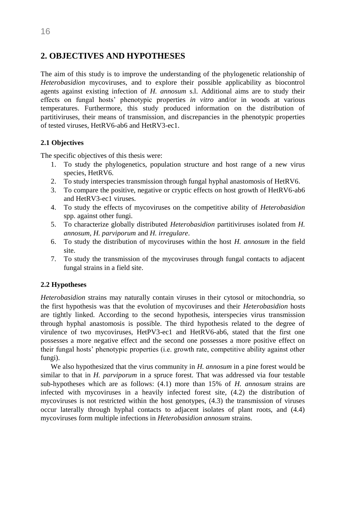# <span id="page-15-0"></span>**2. OBJECTIVES AND HYPOTHESES**

The aim of this study is to improve the understanding of the phylogenetic relationship of *Heterobasidion* mycoviruses, and to explore their possible applicability as biocontrol agents against existing infection of *H. annosum* s.l. Additional aims are to study their effects on fungal hosts' phenotypic properties *in vitro* and/or in woods at various temperatures. Furthermore, this study produced information on the distribution of partitiviruses, their means of transmission, and discrepancies in the phenotypic properties of tested viruses, HetRV6-ab6 and HetRV3-ec1.

### <span id="page-15-1"></span>**2.1 Objectives**

The specific objectives of this thesis were:

- 1. To study the phylogenetics, population structure and host range of a new virus species, HetRV6.
- 2. To study interspecies transmission through fungal hyphal anastomosis of HetRV6.
- 3. To compare the positive, negative or cryptic effects on host growth of HetRV6-ab6 and HetRV3-ec1 viruses.
- 4. To study the effects of mycoviruses on the competitive ability of *Heterobasidion* spp. against other fungi.
- 5. To characterize globally distributed *Heterobasidion* partitiviruses isolated from *H. annosum, H. parviporum* and *H. irregulare*.
- 6. To study the distribution of mycoviruses within the host *H. annosum* in the field site.
- 7. To study the transmission of the mycoviruses through fungal contacts to adjacent fungal strains in a field site.

### <span id="page-15-2"></span>**2.2 Hypotheses**

*Heterobasidion* strains may naturally contain viruses in their cytosol or mitochondria, so the first hypothesis was that the evolution of mycoviruses and their *Heterobasidion* hosts are tightly linked. According to the second hypothesis, interspecies virus transmission through hyphal anastomosis is possible. The third hypothesis related to the degree of virulence of two mycoviruses, HetPV3-ec1 and HetRV6-ab6, stated that the first one possesses a more negative effect and the second one possesses a more positive effect on their fungal hosts' phenotypic properties (i.e. growth rate, competitive ability against other fungi).

We also hypothesized that the virus community in *H. annosum* in a pine forest would be similar to that in *H. parviporum* in a spruce forest. That was addressed via four testable sub-hypotheses which are as follows: (4.1) more than 15% of *H. annosum* strains are infected with mycoviruses in a heavily infected forest site, (4.2) the distribution of mycoviruses is not restricted within the host genotypes, (4.3) the transmission of viruses occur laterally through hyphal contacts to adjacent isolates of plant roots, and (4.4) mycoviruses form multiple infections in *Heterobasidion annosum* strains.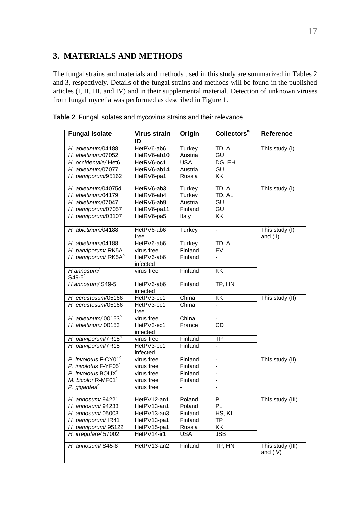# <span id="page-16-0"></span>**3. MATERIALS AND METHODS**

The fungal strains and materials and methods used in this study are summarized in Tables 2 and 3, respectively. Details of the fungal strains and methods will be found in the published articles (I, II, III, and IV) and in their supplemental material. Detection of unknown viruses from fungal mycelia was performed as described in Figure 1.

| <b>Fungal Isolate</b>           | <b>Virus strain</b><br>ID | Origin        | Collectors <sup>a</sup>  | Reference                    |
|---------------------------------|---------------------------|---------------|--------------------------|------------------------------|
| H. abietinum/04188              | HetPV6-ab6                | <b>Turkey</b> | TD, AL                   | This study (I)               |
| H. abietinum/07052              | HetRV6-ab10               | Austria       | GU                       |                              |
| H. occidentale/Het6             | HetRV6-oc1                | <b>USA</b>    | DG, EH                   |                              |
| H. abietinum/07077              | HetRV6-ab14               | Austria       | GU                       |                              |
| H. parviporum/95162             | HetRV6-pa1                | Russia        | <b>KK</b>                |                              |
| H. abietinum/04075d             | HetRV6-ab3                | Turkey        | TD, AL                   | This study (I)               |
| H. abietinum/04179              | HetRV6-ab4                | Turkey        | TD, AL                   |                              |
| H. abietinum/07047              | HetRV6-ab9                | Austria       | GU                       |                              |
| H. parviporum/07057             | HetRV6-pa11               | Finland       | GU                       |                              |
| H. parviporum/03107             | HetRV6-pa5                | Italy         | $\overline{\mathsf{KK}}$ |                              |
| H. abietinum/04188              | HetPV6-ab6<br>free        | Turkey        | ä,                       | This study (I)<br>and (II)   |
| H. abietinum/04188              | HetPV6-ab6                | Turkey        | TD, AL                   |                              |
| H. parviporum/RK5A              | virus free                | Finland       | EV                       |                              |
| H. parviporum/RK5A <sup>b</sup> | HetPV6-ab6<br>infected    | Finland       | $\mathbf{r}$             |                              |
| H.annosum/<br>$S49-5^b$         | virus free                | Finland       | <b>KK</b>                |                              |
| H.annosum/S49-5                 | HetPV6-ab6<br>infected    | Finland       | TP, HN                   |                              |
| H. ecrustosum/05166             | HetPV3-ec1                | China         | KK                       | This study (II)              |
| H. ecrustosum/05166             | HetPV3-ec1<br>free        | China         | $\overline{a}$           |                              |
| H. abietinum/00153 <sup>b</sup> | virus free                | China         | $\overline{a}$           |                              |
| H. abietinum/00153              | HetPV3-ec1<br>infected    | France        | <b>CD</b>                |                              |
| H. parviporum/7R15 <sup>b</sup> | virus free                | Finland       | ТP                       |                              |
| H. parviporum/7R15              | HetPV3-ec1<br>infected    | Finland       |                          |                              |
| P. involotus F-CY01°            | virus free                | Finland       | $\overline{a}$           | This study (II)              |
| P. involotus F-YF05°            | virus free                | Finland       | $\Box$                   |                              |
| P. involotus BOUX <sup>c</sup>  | virus free                | Finland       | ä,                       |                              |
| M. bicolor R-MF01 <sup>c</sup>  | virus free                | Finland       | $\overline{\phantom{a}}$ |                              |
| P. gigantea <sup>d</sup>        | virus free                |               | ä,                       |                              |
| H. annosum/94221                | HetPV12-an1               | Poland        | PL                       | This study (III)             |
| H. annosum/94233                | HetPV13-an1               | Poland        | PL                       |                              |
| H. annosum/05003                | HetPV13-an3               | Finland       | HS, KL                   |                              |
| H. parviporum/IR41              | HetPV13-pa1               | Finland       | <b>TP</b>                |                              |
| H. parviporum/95122             | HetPV15-pa1               | Russia        | KK                       |                              |
| H. irregulare/57002             | HetPV14-ir1               | <b>USA</b>    | <b>JSB</b>               |                              |
| H. annosum/S45-8                | HetPV13-an2               | Finland       | TP, HN                   | This study (III)<br>and (IV) |

**Table 2**. Fungal isolates and mycovirus strains and their relevance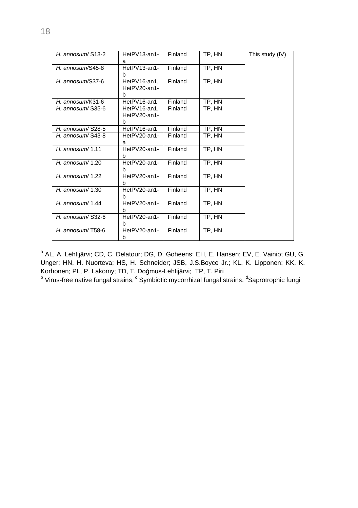| H. annosum/ $S13-2$  | HetPV13-an1-<br>a                 | Finland | TP, HN | This study (IV) |
|----------------------|-----------------------------------|---------|--------|-----------------|
| H. annosum/S45-8     | HetPV13-an1-<br>b                 | Finland | TP, HN |                 |
| $H.$ annosum/S37-6   | HetPV16-an1,<br>HetPV20-an1-<br>b | Finland | TP, HN |                 |
| H. annosum/K31-6     | HetPV16-an1                       | Finland | TP, HN |                 |
| H. annosum/ $S35-6$  | HetPV16-an1.<br>HetPV20-an1-<br>b | Finland | TP, HN |                 |
| H. annosum/ $S$ 28-5 | HetPV16-an1                       | Finland | TP, HN |                 |
| H. annosum/S43-8     | HetPV20-an1-<br>а                 | Finland | TP, HN |                 |
| $H.$ annosum/1.11    | HetPV20-an1-<br>h                 | Finland | TP, HN |                 |
| H. annosum/1.20      | HetPV20-an1-<br>b                 | Finland | TP, HN |                 |
| H. annosum/ $1.22$   | HetPV20-an1-<br>b                 | Finland | TP. HN |                 |
| H. annosum $/$ 1.30  | HetPV20-an1-<br>h                 | Finland | TP, HN |                 |
| H. annosum/1.44      | HetPV20-an1-<br>b                 | Finland | TP, HN |                 |
| H. annosum/ $S32-6$  | HetPV20-an1-<br>b                 | Finland | TP, HN |                 |
| $H.$ annosum/T58-6   | HetPV20-an1-<br>b                 | Finland | TP, HN |                 |

<sup>a</sup> AL, A. Lehtijärvi; CD, C. Delatour; DG, D. Goheens; EH, E. Hansen; EV, E. Vainio; GU, G. Unger; HN, H. Nuorteva; HS, H. Schneider; JSB, J.S.Boyce Jr.; KL, K. Lipponen; KK, K. Korhonen; PL, P. Lakomy; TD, T. Doğmus-Lehtijärvi; TP, T. Piri

 $^{\rm b}$  Virus-free native fungal strains,  $^{\rm c}$  Symbiotic mycorrhizal fungal strains,  $^{\rm d}$ Saprotrophic fungi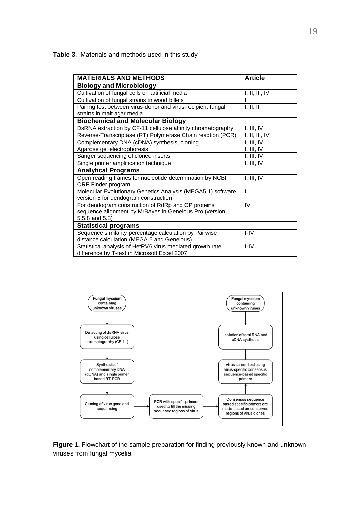**Table 3**. Materials and methods used in this study

| <b>MATERIALS AND METHODS</b>                                | <b>Article</b> |
|-------------------------------------------------------------|----------------|
| <b>Biology and Microbiology</b>                             |                |
| Cultivation of fungal cells on artificial media             | I, II, III, IV |
| Cultivation of fungal strains in wood billets               |                |
| Pairing test between virus-donor and virus-recipient fungal | I, II, III     |
| strains in malt agar media                                  |                |
| <b>Biochemical and Molecular Biology</b>                    |                |
| DsRNA extraction by CF-11 cellulose affinity chromatography | I, III, IV     |
| Reverse-Transcriptase (RT) Polymerase Chain reaction (PCR)  | I, II, III, IV |
| Complementary DNA (cDNA) synthesis, cloning                 | I, III, IV     |
| Agarose gel electrophoresis                                 | I, III, IV     |
| Sanger sequencing of cloned inserts                         | I, III, IV     |
| Single primer amplification technique                       | I, III, IV     |
| <b>Analytical Programs</b>                                  |                |
| Open reading frames for nucleotide determination by NCBI    | I, III, IV     |
| ORF Finder program                                          |                |
| Molecular Evolutionary Genetics Analysis (MEGA5.1) software | ı              |
| version 5 for dendogram construction                        |                |
| For dendogram construction of RdRp and CP proteins          | IV             |
| sequence alignment by MrBayes in Geneious Pro (version      |                |
| 5.5.8 and 5.3)                                              |                |
| <b>Statistical programs</b>                                 |                |
| Sequence similarity percentage calculation by Pairwise      | $I - IV$       |
| distance calculation (MEGA 5 and Geneious)                  |                |
| Statistical analysis of HetRV6 virus mediated growth rate   | $I - IV$       |
| difference by T-test in Microsoft Excel 2007                |                |



**Figure 1.** Flowchart of the sample preparation for finding previously known and unknown viruses from fungal mycelia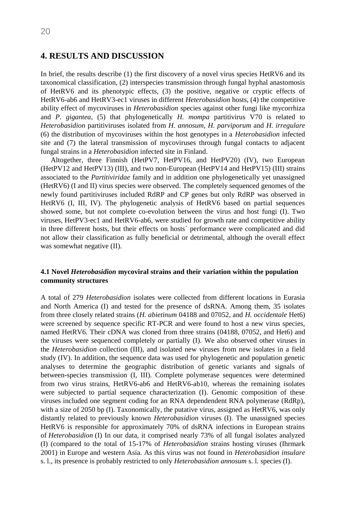## <span id="page-19-0"></span>**4. RESULTS AND DISCUSSION**

In brief, the results describe (1) the first discovery of a novel virus species HetRV6 and its taxonomical classification, (2) interspecies transmission through fungal hyphal anastomosis of HetRV6 and its phenotypic effects, (3) the positive, negative or cryptic effects of HetRV6-ab6 and HetRV3-ec1 viruses in different *Heterobasidion* hosts, (4) the competitive ability effect of mycoviruses in *Heterobasidion* species against other fungi like mycorrhiza and *P. gigantea*, (5) that phylogenetically *H. mompa* partitivirus V70 is related to *Heterobasidion* partitiviruses isolated from *H. annosum, H. parviporum* and *H. irregulare* (6) the distribution of mycoviruses within the host genotypes in a *Heterobasidion* infected site and (7) the lateral transmission of mycoviruses through fungal contacts to adjacent fungal strains in a *Heterobasidion* infected site in Finland.

Altogether, three Finnish (HetPV7, HetPV16, and HetPV20) (IV), two European (HetPV12 and HetPV13) (III), and two non-European (HetPV14 and HetPV15) (III) strains associated to the *Partitiviridae* family and in addition one phylogenetically yet unassigned (HetRV6) (I and II) virus species were observed. The completely sequenced genomes of the newly found partitiviruses included RdRP and CP genes but only RdRP was observed in HetRV6 (I, III, IV). The phylogenetic analysis of HetRV6 based on partial sequences showed some, but not complete co-evolution between the virus and host fungi (I). Two viruses, HetPV3-ec1 and HetRV6-ab6, were studied for growth rate and competitive ability in three different hosts, but their effects on hosts´ performance were complicated and did not allow their classification as fully beneficial or detrimental, although the overall effect was somewhat negative (II).

### <span id="page-19-1"></span>**4.1 Novel** *Heterobasidion* **mycoviral strains and their variation within the population community structures**

A total of 279 *Heterobasidion* isolates were collected from different locations in Eurasia and North America (I) and tested for the presence of dsRNA. Among them, 35 isolates from three closely related strains (*H. abietinum* 04188 and 07052, and *H. occidentale* Het6) were screened by sequence specific RT-PCR and were found to host a new virus species, named HetRV6. Their cDNA was cloned from three strains (04188, 07052, and Het6) and the viruses were sequenced completely or partially (I). We also observed other viruses in the *Heterobasidion* collection (III), and isolated new viruses from new isolates in a field study (IV). In addition, the sequence data was used for phylogenetic and population genetic analyses to determine the geographic distribution of genetic variants and signals of between-species transmission (I, III). Complete polymerase sequences were determined from two virus strains, HetRV6-ab6 and HetRV6-ab10, whereas the remaining isolates were subjected to partial sequence characterization (I). Genomic composition of these viruses included one segment coding for an RNA dependendent RNA polymerase (RdRp), with a size of 2050 bp (I). Taxonomically, the putative virus, assigned as HetRV6, was only distantly related to previously known *Heterobasidion* viruses (I). The unassigned species HetRV6 is responsible for approximately 70% of dsRNA infections in European strains of *Heterobasidion* (I) In our data, it comprised nearly 73% of all fungal isolates analyzed (I) (compared to the total of 15-17% of *Heterobasidion* strains hosting viruses (Ihrmark 2001) in Europe and western Asia. As this virus was not found in *Heterobasidion insulare* s. l., its presence is probably restricted to only *Heterobasidion annosum* s. l. species (I).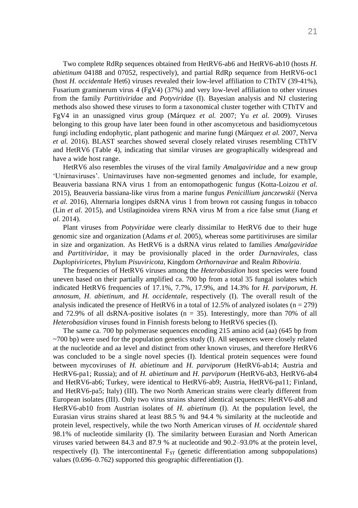Two complete RdRp sequences obtained from HetRV6-ab6 and HetRV6-ab10 (hosts *H. abietinum* 04188 and 07052, respectively), and partial RdRp sequence from HetRV6-oc1 (host *H. occidentale* Het6) viruses revealed their low-level affiliation to CThTV (39-41%), Fusarium graminerum virus 4 (FgV4) (37%) and very low-level affiliation to other viruses from the family *Partitiviridae* and *Potyviridae* (I). Bayesian analysis and NJ clustering methods also showed these viruses to form a taxonomical cluster together with CThTV and FgV4 in an unassigned virus group (Márquez *et al.* 2007; Yu *et al.* 2009). Viruses belonging to this group have later been found in other ascomycetous and basidiomycetous fungi including endophytic, plant pathogenic and marine fungi (Márquez *et al.* 2007, Nerva *et al.* 2016). BLAST searches showed several closely related viruses resembling CThTV and HetRV6 (Table 4), indicating that similar viruses are geographically widespread and have a wide host range.

HetRV6 also resembles the viruses of the viral family *Amalgaviridae* and a new group 'Unirnaviruses'. Unirnaviruses have non-segmented genomes and include, for example, Beauveria bassiana RNA virus 1 from an entomopathogenic fungus (Kotta-Loizou *et al.* 2015), Beauveria bassiana-like virus from a marine fungus *Penicillium janczewskii* (Nerva *et al.* 2016), Alternaria longipes dsRNA virus 1 from brown rot causing fungus in tobacco (Lin *et al.* 2015), and Ustilaginoidea virens RNA virus M from a rice false smut (Jiang *et al.* 2014).

Plant viruses from *Potyviridae* were clearly dissimilar to HetRV6 due to their huge genomic size and organization (Adams *et al.* 2005), whereas some partitiviruses are similar in size and organization. As HetRV6 is a dsRNA virus related to families *Amalgaviridae* and *Partitiviridae*, it may be provisionally placed in the order *Durnavirales*, class *Duplopiviricetes*, Phylum *Pisuviricota*, Kingdom *Orthornavirae* and Realm *Riboviria*.

The frequencies of HetRV6 viruses among the *Heterobasidion* host species were found uneven based on their partially amplified ca. 700 bp from a total 35 fungal isolates which indicated HetRV6 frequencies of 17.1%, 7.7%, 17.9%, and 14.3% for *H. parviporum, H. annosum, H. abietinum,* and *H. occidentale*, respectively (I). The overall result of the analysis indicated the presence of HetRV6 in a total of 12.5% of analyzed isolates ( $n = 279$ ) and 72.9% of all dsRNA-positive isolates ( $n = 35$ ). Interestingly, more than 70% of all *Heterobasidion* viruses found in Finnish forests belong to HetRV6 species (I).

The same ca. 700 bp polymerase sequences encoding 215 amino acid (aa) (645 bp from  $\sim$ 700 bp) were used for the population genetics study (I). All sequences were closely related at the nucleotide and aa level and distinct from other known viruses, and therefore HetRV6 was concluded to be a single novel species (I). Identical protein sequences were found between mycoviruses of *H. abietinum* and *H. parviporum* (HetRV6-ab14; Austria and HetRV6-pa1; Russia); and of *H. abietinum* and *H. parviporum* (HetRV6-ab3, HetRV6-ab4 and HetRV6-ab6; Turkey, were identical to HetRV6-ab9; Austria, HetRV6-pa11; Finland, and HetRV6-pa5; Italy) (III). The two North American strains were clearly different from European isolates (III). Only two virus strains shared identical sequences: HetRV6-ab8 and HetRV6-ab10 from Austrian isolates of *H. abietinum* (I). At the population level, the Eurasian virus strains shared at least 88.5 % and 94.4 % similarity at the nucleotide and protein level, respectively, while the two North American viruses of *H. occidentale* shared 98.1% of nucleotide similarity (I). The similarity between Eurasian and North American viruses varied between 84.3 and 87.9 % at nucleotide and 90.2–93.0% at the protein level, respectively (I). The intercontinental  $F_{ST}$  (genetic differentiation among subpopulations) values (0.696–0.762) supported this geographic differentiation (I).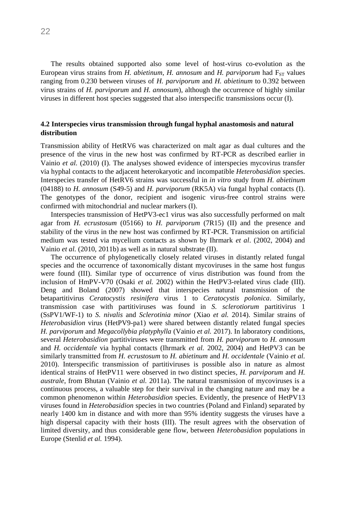The results obtained supported also some level of host-virus co-evolution as the European virus strains from *H. abietinum, H. annosum* and *H. parviporum* had F<sub>ST</sub> values ranging from 0.230 between viruses of *H. parviporum* and *H. abietinum* to 0.392 between virus strains of *H. parviporum* and *H. annosum*), although the occurrence of highly similar viruses in different host species suggested that also interspecific transmissions occur (I).

#### <span id="page-21-0"></span>**4.2 Interspecies virus transmission through fungal hyphal anastomosis and natural distribution**

Transmission ability of HetRV6 was characterized on malt agar as dual cultures and the presence of the virus in the new host was confirmed by RT-PCR as described earlier in Vainio *et al.* (2010) (I). The analyses showed evidence of interspecies mycovirus transfer via hyphal contacts to the adjacent heterokaryotic and incompatible *Heterobasidion* species. Interspecies transfer of HetRV6 strains was successful in *in vitro* study from *H. abietinum* (04188) to *H. annosum* (S49-5) and *H. parviporum* (RK5A) via fungal hyphal contacts (I). The genotypes of the donor, recipient and isogenic virus-free control strains were confirmed with mitochondrial and nuclear markers (I).

Interspecies transmission of HetPV3-ec1 virus was also successfully performed on malt agar from *H. ecrustosum* (05166) to *H. parviporum* (7R15) (II) and the presence and stability of the virus in the new host was confirmed by RT-PCR. Transmission on artificial medium was tested via mycelium contacts as shown by Ihrmark *et al*. (2002, 2004) and Vainio *et al.* (2010, 2011b) as well as in natural substrate (II).

The occurrence of phylogenetically closely related viruses in distantly related fungal species and the occurrence of taxonomically distant mycoviruses in the same host fungus were found (III). Similar type of occurrence of virus distribution was found from the inclusion of HmPV-V70 (Osaki *et al.* 2002) within the HetPV3-related virus clade (III). Deng and Boland (2007) showed that interspecies natural transmission of the betapartitivirus *Ceratocystis resinifera* virus 1 to *Ceratocystis polonica*. Similarly, transmission case with partitiviruses was found in *S. sclerotiorum* partitivirus 1 (SsPV1/WF-1) to *S. nivalis* and *Sclerotinia minor* (Xiao *et al.* 2014). Similar strains of *Heterobasidion* virus (HetPV9-pa1) were shared between distantly related fungal species *H. parviporum* and *Megacollybia platyphylla* (Vainio *et al.* 2017). In laboratory conditions, several *Heterobasidion* partitiviruses were transmitted from *H. parviporum* to *H. annosum* and *H. occidentale* via hyphal contacts (Ihrmark *et al.* 2002, 2004) and HetPV3 can be similarly transmitted from *H. ecrustosum* to *H. abietinum* and *H. occidentale* (Vainio *et al.* 2010). Interspecific transmission of partitiviruses is possible also in nature as almost identical strains of HetPV11 were observed in two distinct species*, H. parviporum* and *H. australe*, from Bhutan (Vainio *et al.* 2011a). The natural transmission of mycoviruses is a continuous process, a valuable step for their survival in the changing nature and may be a common phenomenon within *Heterobasidion* species. Evidently, the presence of HetPV13 viruses found in *Heterobasidion* species in two countries (Poland and Finland) separated by nearly 1400 km in distance and with more than 95% identity suggests the viruses have a high dispersal capacity with their hosts (III). The result agrees with the observation of limited diversity, and thus considerable gene flow, between *Heterobasidion* populations in Europe (Stenlid *et al.* 1994).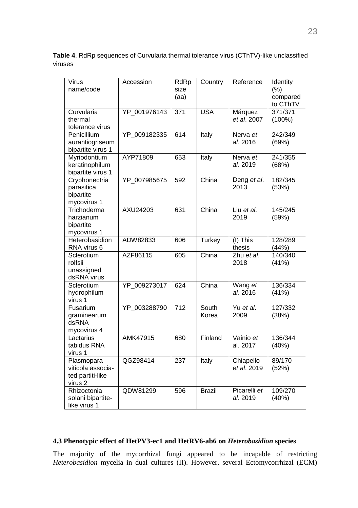**Table 4**. RdRp sequences of Curvularia thermal tolerance virus (CThTV)-like unclassified viruses

| Virus<br>name/code                                             | Accession    | RdRp<br>size<br>(aa) | Country        | Reference                      | Identity<br>(% )<br>compared<br>to CThTV |
|----------------------------------------------------------------|--------------|----------------------|----------------|--------------------------------|------------------------------------------|
| Curvularia<br>thermal<br>tolerance virus                       | YP_001976143 | $\overline{371}$     | <b>USA</b>     | Márquez<br>et al. 2007         | 371/371<br>$(100\%)$                     |
| Penicillium<br>aurantiogriseum<br>bipartite virus 1            | YP_009182335 | 614                  | Italy          | Nerva et<br>al. 2016           | 242/349<br>(69%)                         |
| Myriodontium<br>keratinophilum<br>bipartite virus 1            | AYP71809     | 653                  | Italy          | Nerva et<br>al. 2019           | 241/355<br>(68%)                         |
| Cryphonectria<br>parasitica<br>bipartite<br>mycovirus 1        | YP_007985675 | 592                  | China          | Deng et al.<br>2013            | 182/345<br>(53%)                         |
| Trichoderma<br>harzianum<br>bipartite<br>mycovirus 1           | AXU24203     | 631                  | China          | Liu et al.<br>2019             | 145/245<br>(59%)                         |
| Heterobasidion<br>RNA virus 6                                  | ADW82833     | 606                  | <b>Turkey</b>  | $(I)$ This<br>thesis           | 128/289<br>(44%)                         |
| Sclerotium<br>rolfsii<br>unassigned<br>dsRNA virus             | AZF86115     | 605                  | China          | Zhu et al.<br>2018             | 140/340<br>(41%)                         |
| Sclerotium<br>hydrophilum<br>virus 1                           | YP_009273017 | 624                  | China          | Wang et<br>al. 2016            | 136/334<br>(41%)                         |
| Fusarium<br>graminearum<br>dsRNA<br>mycovirus 4                | YP 003288790 | 712                  | South<br>Korea | $\overline{Yu}$ et al.<br>2009 | 127/332<br>(38%)                         |
| Lactarius<br>tabidus RNA<br>virus 1                            | AMK47915     | 680                  | Finland        | Vainio et<br>al. 2017          | 136/344<br>(40%)                         |
| Plasmopara<br>viticola associa-<br>ted partiti-like<br>virus 2 | QGZ98414     | 237                  | Italy          | Chiapello<br>et al. 2019       | 89/170<br>(52%)                          |
| Rhizoctonia<br>solani bipartite-<br>like virus 1               | QDW81299     | 596                  | <b>Brazil</b>  | Picarelli et<br>al. 2019       | 109/270<br>(40%)                         |

## <span id="page-22-0"></span>**4.3 Phenotypic effect of HetPV3-ec1 and HetRV6-ab6 on** *Heterobasidion* **species**

The majority of the mycorrhizal fungi appeared to be incapable of restricting *Heterobasidion* mycelia in dual cultures (II). However, several Ectomycorrhizal (ECM)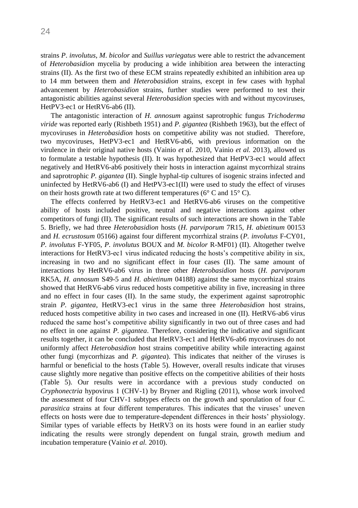strains *P*. *involutus*, *M*. *bicolor* and *Suillus variegatus* were able to restrict the advancement of *Heterobasidion* mycelia by producing a wide inhibition area between the interacting strains (II). As the first two of these ECM strains repeatedly exhibited an inhibition area up to 14 mm between them and *Heterobasidion* strains, except in few cases with hyphal advancement by *Heterobasidion* strains, further studies were performed to test their antagonistic abilities against several *Heterobasidion* species with and without mycoviruses, HetPV3-ec1 or HetRV6-ab6 (II).

The antagonistic interaction of *H. annosum* against saprotrophic fungus *Trichoderma viride* was reported early (Rishbeth 1951) and *P. gigantea* (Rishbeth 1963), but the effect of mycoviruses in *Heterobasidion* hosts on competitive ability was not studied. Therefore, two mycoviruses, HetPV3-ec1 and HetRV6-ab6, with previous information on the virulence in their original native hosts (Vainio *et al*. 2010, Vainio *et al.* 2013), allowed us to formulate a testable hypothesis (II). It was hypothesized that HetPV3-ec1 would affect negatively and HetRV6-ab6 positively their hosts in interaction against mycorrhizal strains and saprotrophic *P. gigantea* (II). Single hyphal-tip cultures of isogenic strains infected and uninfected by HetRV6-ab6 (I) and HetPV3-ec1(II) were used to study the effect of viruses on their hosts growth rate at two different temperatures ( $6^{\circ}$  C and  $15^{\circ}$  C).

The effects conferred by HetRV3-ec1 and HetRV6-ab6 viruses on the competitive ability of hosts included positive, neutral and negative interactions against other competitors of fungi (II). The significant results of such interactions are shown in the Table 5. Briefly, we had three *Heterobasidion* hosts (*H. parviporum* 7R15, *H. abietinum* 00153 and *H. ecrustosum* 05166) against four different mycorrhizal strains (*P. involutus* F-CY01, *P. involutus* F-YF05, *P. involutus* BOUX and *M. bicolor* R-MF01) (II). Altogether twelve interactions for HetRV3-ec1 virus indicated reducing the hosts's competitive ability in six, increasing in two and no significant effect in four cases (II). The same amount of interactions by HetRV6-ab6 virus in three other *Heterobasidion* hosts (*H. parviporum* RK5A, *H. annosum* S49-5 and *H. abietinum* 04188) against the same mycorrhizal strains showed that HetRV6-ab6 virus reduced hosts competitive ability in five, increasing in three and no effect in four cases (II). In the same study, the experiment against saprotrophic strain *P. gigantea*, HetRV3-ec1 virus in the same three *Heterobasidion* host strains, reduced hosts competitive ability in two cases and increased in one (II). HetRV6-ab6 virus reduced the same host's competitive ability significantly in two out of three cases and had no effect in one against *P. gigantea*. Therefore, considering the indicative and significant results together, it can be concluded that HetRV3-ec1 and HetRV6-ab6 mycoviruses do not uniformly affect *Heterobasidion* host strains competitive ability while interacting against other fungi (mycorrhizas and *P. gigantea*). This indicates that neither of the viruses is harmful or beneficial to the hosts (Table 5). However, overall results indicate that viruses cause slightly more negative than positive effects on the competitive abilities of their hosts (Table 5). Our results were in accordance with a previous study conducted on *Cryphonectria* hypovirus 1 (CHV-1) by Bryner and Rigling (2011), whose work involved the assessment of four CHV-1 subtypes effects on the growth and sporulation of four *C. parasitica* strains at four different temperatures. This indicates that the viruses' uneven effects on hosts were due to temperature-dependent differences in their hosts' physiology. Similar types of variable effects by HetRV3 on its hosts were found in an earlier study indicating the results were strongly dependent on fungal strain, growth medium and incubation temperature (Vainio *et al.* 2010).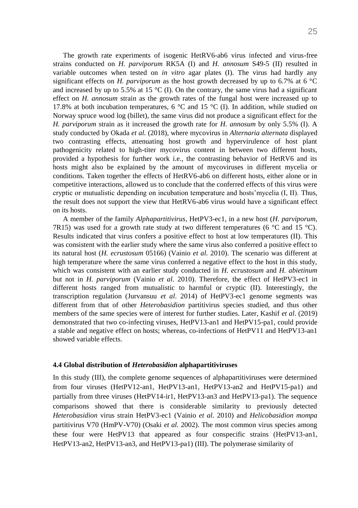The growth rate experiments of isogenic HetRV6-ab6 virus infected and virus-free strains conducted on *H. parviporum* RK5A (I) and *H. annosum* S49-5 (II) resulted in variable outcomes when tested on *in vitro* agar plates (I). The virus had hardly any significant effects on *H. parviporum* as the host growth decreased by up to 6.7% at 6 °C and increased by up to 5.5% at 15  $\degree$ C (I). On the contrary, the same virus had a significant effect on *H. annosum* strain as the growth rates of the fungal host were increased up to 17.8% at both incubation temperatures, 6  $\degree$ C and 15  $\degree$ C (I). In addition, while studied on Norway spruce wood log (billet), the same virus did not produce a significant effect for the *H. parviporum* strain as it increased the growth rate for *H. annosum* by only 5.5% (I). A study conducted by Okada *et al.* (2018), where mycovirus in *Alternaria alternata* displayed two contrasting effects, attenuating host growth and hypervirulence of host plant pathogenicity related to high-titer mycovirus content in between two different hosts, provided a hypothesis for further work i.e., the contrasting behavior of HetRV6 and its hosts might also be explained by the amount of mycoviruses in different mycelia or conditions. Taken together the effects of HetRV6-ab6 on different hosts, either alone or in competitive interactions, allowed us to conclude that the conferred effects of this virus were cryptic or mutualistic depending on incubation temperature and hosts'mycelia (I, II). Thus, the result does not support the view that HetRV6-ab6 virus would have a significant effect on its hosts.

A member of the family *Alphapartitivirus*, HetPV3-ec1, in a new host (*H. parviporum*, 7R15) was used for a growth rate study at two different temperatures (6  $^{\circ}$ C and 15  $^{\circ}$ C). Results indicated that virus confers a positive effect to host at low temperatures (II). This was consistent with the earlier study where the same virus also conferred a positive effect to its natural host (*H. ecrustosum* 05166) (Vainio *et al.* 2010). The scenario was different at high temperature where the same virus conferred a negative effect to the host in this study, which was consistent with an earlier study conducted in *H. ecrustosum* and *H. abietinum*  but not in *H. parviporum* (Vainio *et al*. 2010). Therefore, the effect of HetPV3-ec1 in different hosts ranged from mutualistic to harmful or cryptic (II). Interestingly, the transcription regulation (Jurvansuu *et al*. 2014) of HetPV3-ec1 genome segments was different from that of other *Heterobasidion* partitivirus species studied, and thus other members of the same species were of interest for further studies. Later, Kashif *et al*. (2019) demonstrated that two co-infecting viruses, HetPV13-an1 and HetPV15-pa1, could provide a stable and negative effect on hosts; whereas, co-infections of HetPV11 and HetPV13-an1 showed variable effects.

#### <span id="page-24-0"></span>**4.4 Global distribution of** *Heterobasidion* **alphapartitiviruses**

In this study (III), the complete genome sequences of alphapartitiviruses were determined from four viruses (HetPV12-an1, HetPV13-an1, HetPV13-an2 and HetPV15-pa1) and partially from three viruses (HetPV14-ir1, HetPV13-an3 and HetPV13-pa1). The sequence comparisons showed that there is considerable similarity to previously detected *Heterobasidion* virus strain HetPV3-ec1 (Vainio *et al*. 2010) and *Helicobasidion mompa* partitivirus V70 (HmPV-V70) (Osaki *et al.* 2002). The most common virus species among these four were HetPV13 that appeared as four conspecific strains (HetPV13-an1, HetPV13-an2, HetPV13-an3, and HetPV13-pa1) (III). The polymerase similarity of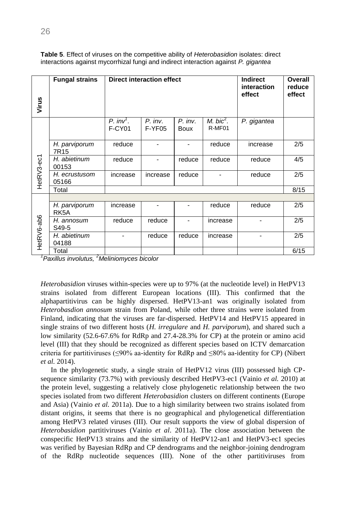| Virus      | <b>Fungal strains</b>              | <b>Direct interaction effect</b><br><b>Indirect</b><br>interaction<br>effect |                     |                          |                                   |             | <b>Overall</b><br>reduce<br>effect |
|------------|------------------------------------|------------------------------------------------------------------------------|---------------------|--------------------------|-----------------------------------|-------------|------------------------------------|
|            |                                    | $P. inv7$ .<br><b>F-CY01</b>                                                 | $P.$ inv.<br>F-YF05 | $P.$ inv.<br><b>Boux</b> | $M.$ bic <sup>2</sup> .<br>R-MF01 | P. gigantea |                                    |
|            | H. parviporum<br>7R <sub>15</sub>  | reduce                                                                       |                     |                          | reduce                            | increase    | 2/5                                |
| HetRV3-ec1 | H. abietinum<br>00153              | reduce                                                                       |                     | reduce                   | reduce                            | reduce      | 4/5                                |
|            | H. ecrustusom<br>05166             | increase                                                                     | increase            | reduce                   |                                   | reduce      | 2/5                                |
|            | Total                              |                                                                              |                     |                          |                                   |             | 8/15                               |
|            |                                    |                                                                              |                     |                          |                                   |             |                                    |
|            | H. parviporum<br>RK <sub>5</sub> A | increase                                                                     |                     |                          | reduce                            | reduce      | 2/5                                |
|            | H. annosum<br>S49-5                | reduce                                                                       | reduce              |                          | increase                          |             | 2/5                                |
| HetRV6-ab6 | H. abietinum<br>04188              |                                                                              | reduce              | reduce                   | increase                          |             | 2/5                                |
|            | Total                              |                                                                              |                     |                          |                                   |             | 6/15                               |

**Table 5**. Effect of viruses on the competitive ability of *Heterobasidion* isolates: direct interactions against mycorrhizal fungi and indirect interaction against *P. gigantea*

*1 Paxillus involutus, <sup>2</sup>Meliniomyces bicolor*

*Heterobasidion* viruses within-species were up to 97% (at the nucleotide level) in HetPV13 strains isolated from different European locations (III). This confirmed that the alphapartitivirus can be highly dispersed. HetPV13-an1 was originally isolated from *Heterobasdion annosum* strain from Poland, while other three strains were isolated from Finland, indicating that the viruses are far-dispersed. HetPV14 and HetPV15 appeared in single strains of two different hosts (*H. irregulare* and *H. parviporum*), and shared such a low similarity (52.6-67.6% for RdRp and 27.4-28.3% for CP) at the protein or amino acid level (III) that they should be recognized as different species based on ICTV demarcation criteria for partitiviruses (≤90% aa-identity for RdRp and ≤80% aa-identity for CP) (Nibert *et al.* 2014).

In the phylogenetic study, a single strain of HetPV12 virus (III) possessed high CPsequence similarity (73.7%) with previously described HetPV3-ec1 (Vainio *et al.* 2010) at the protein level, suggesting a relatively close phylogenetic relationship between the two species isolated from two different *Heterobasidion* clusters on different continents (Europe and Asia) (Vainio *et al.* 2011a). Due to a high similarity between two strains isolated from distant origins, it seems that there is no geographical and phylogenetical differentiation among HetPV3 related viruses (III). Our result supports the view of global dispersion of *Heterobasidion* partitiviruses (Vainio *et al*. 2011a). The close association between the conspecific HetPV13 strains and the similarity of HetPV12-an1 and HetPV3-ec1 species was verified by Bayesian RdRp and CP dendrograms and the neighbor-joining dendrogram of the RdRp nucleotide sequences (III). None of the other partitiviruses from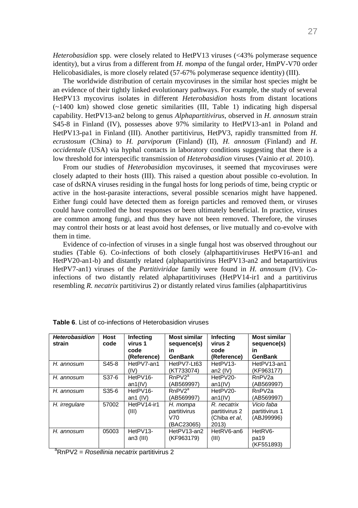*Heterobasidion* spp. were closely related to HetPV13 viruses (<43% polymerase sequence identity), but a virus from a different from *H. mompa* of the fungal order, HmPV-V70 order Helicobasidiales, is more closely related (57-67% polymerase sequence identity) (III).

The worldwide distribution of certain mycoviruses in the similar host species might be an evidence of their tightly linked evolutionary pathways. For example, the study of several HetPV13 mycovirus isolates in different *Heterobasidion* hosts from distant locations (~1400 km) showed close genetic similarities (III, Table 1) indicating high dispersal capability. HetPV13-an2 belong to genus *Alphapartitivirus*, observed in *H. annosum* strain S45-8 in Finland (IV), possesses above 97% similarity to HetPV13-an1 in Poland and HetPV13-pa1 in Finland (III). Another partitivirus, HetPV3, rapidly transmitted from *H. ecrustosum* (China) to *H. parviporum* (Finland) (II), *H. annosum* (Finland) and *H. occidentale* (USA) via hyphal contacts in laboratory conditions suggesting that there is a low threshold for interspecific transmission of *Heterobasidion* viruses (Vainio *et al.* 2010).

From our studies of *Heterobasidion* mycoviruses, it seemed that mycoviruses were closely adapted to their hosts (III). This raised a question about possible co-evolution. In case of dsRNA viruses residing in the fungal hosts for long periods of time, being cryptic or active in the host-parasite interactions, several possible scenarios might have happened. Either fungi could have detected them as foreign particles and removed them, or viruses could have controlled the host responses or been ultimately beneficial. In practice, viruses are common among fungi, and thus they have not been removed. Therefore, the viruses may control their hosts or at least avoid host defenses, or live mutually and co-evolve with them in time.

Evidence of co-infection of viruses in a single fungal host was observed throughout our studies (Table 6). Co-infections of both closely (alphapartitiviruses HetPV16-an1 and HetPV20-an1-b) and distantly related (alphapartitivirus HetPV13-an2 and betapartitivirus HetPV7-an1) viruses of the *Partitiviridae* family were found in *H. annosum* (IV). Coinfections of two distantly related alphapartitiviruses (HetPV14-ir1 and a partitivirus resembling *R. necatrix* partitivirus 2) or distantly related virus families (alphapartitivirus

| <b>Heterobasidion</b><br>strain | <b>Host</b><br>code | <b>Infecting</b><br>virus 1<br>code<br>(Reference) | <b>Most similar</b><br>sequence(s)<br>in<br>GenBank | <b>Infecting</b><br>virus <sub>2</sub><br>code<br>(Reference)   | <b>Most similar</b><br>sequence(s)<br>in<br><b>GenBank</b> |
|---------------------------------|---------------------|----------------------------------------------------|-----------------------------------------------------|-----------------------------------------------------------------|------------------------------------------------------------|
| H. annosum                      | S <sub>45</sub> -8  | HetPV7-an1<br>(IV)                                 | HetPV7-Lt63<br>(KT733074)                           | HetPV13-<br>an2 $(IV)$                                          | HetPV13-an1<br>(KF963177)                                  |
| H. annosum                      | S37-6               | HetPV16-<br>an $1(IV)$                             | RnPV2 <sup>a</sup><br>(AB569997)                    | HetPV20-<br>an1(IV)                                             | RnPV <sub>2a</sub><br>(AB569997)                           |
| H. annosum                      | $S35-6$             | HetPV16-<br>an1 $(IV)$                             | RnPV2 <sup>a</sup><br>(AB569997)                    | HetPV20-<br>an1(IV)                                             | RnPV <sub>2a</sub><br>(AB569997)                           |
| H. irregulare                   | 57002               | HetPV14-ir1<br>(III)                               | H. mompa<br>partitivirus<br>V70<br>(BAC23065)       | R. necatrix<br>partitivirus 2<br>(Chiba <i>et al</i> .<br>2013) | Vicio faba<br>partitivirus 1<br>(ABJ99996)                 |
| H. annosum                      | 05003               | HetPV13-<br>an $3$ (III)                           | HetPV13-an2<br>(KF963179)                           | HetRV6-an6<br>(III)                                             | HetRV6-<br>pa19<br>(KF551893)                              |

**Table 6**. List of co-infections of Heterobasidion viruses

<sup>a</sup>RnPV2 = *Rosellinia necatrix* partitivirus 2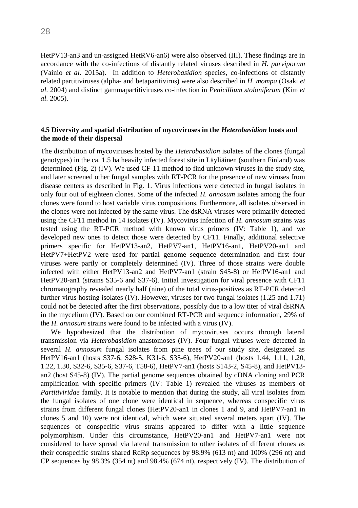HetPV13-an3 and un-assigned HetRV6-an6) were also observed (III). These findings are in accordance with the co-infections of distantly related viruses described in *H. parviporum* (Vainio *et al.* 2015a). In addition to *Heterobasidion* species, co-infections of distantly related partitiviruses (alpha- and betaparitivirus) were also described in *H. mompa* (Osaki *et al*. 2004) and distinct gammapartitiviruses co-infection in *Penicillium stoloniferum* (Kim *et al*. 2005).

#### <span id="page-27-0"></span>**4.5 Diversity and spatial distribution of mycoviruses in the** *Heterobasidion* **hosts and the mode of their dispersal**

The distribution of mycoviruses hosted by the *Heterobasidion* isolates of the clones (fungal genotypes) in the ca. 1.5 ha heavily infected forest site in Läyliäinen (southern Finland) was determined (Fig. 2) (IV). We used CF-11 method to find unknown viruses in the study site, and later screened other fungal samples with RT-PCR for the presence of new viruses from disease centers as described in Fig. 1. Virus infections were detected in fungal isolates in only four out of eighteen clones. Some of the infected *H. annosum* isolates among the four clones were found to host variable virus compositions. Furthermore, all isolates observed in the clones were not infected by the same virus. The dsRNA viruses were primarily detected using the CF11 method in 14 isolates (IV). Mycovirus infection of *H. annosum* strains was tested using the RT-PCR method with known virus primers (IV: Table 1), and we developed new ones to detect those were detected by CF11. Finally, additional selective primers specific for HetPV13-an2, HetPV7-an1, HetPV16-an1, HetPV20-an1 and HetPV7+HetPV2 were used for partial genome sequence determination and first four viruses were partly or completely determined (IV). Three of those strains were double infected with either HetPV13-an2 and HetPV7-an1 (strain S45-8) or HetPV16-an1 and HetPV20-an1 (strains S35-6 and S37-6). Initial investigation for viral presence with CF11 chromatography revealed nearly half (nine) of the total virus-positives as RT-PCR detected further virus hosting isolates (IV). However, viruses for two fungal isolates (1.25 and 1.71) could not be detected after the first observations, possibly due to a low titer of viral dsRNA in the mycelium (IV). Based on our combined RT-PCR and sequence information, 29% of the *H. annosum* strains were found to be infected with a virus (IV).

We hypothesized that the distribution of mycoviruses occurs through lateral transmission via *Heterobasidion* anastomoses (IV). Four fungal viruses were detected in several *H. annosum* fungal isolates from pine trees of our study site, designated as HetPV16-an1 (hosts S37-6, S28-5, K31-6, S35-6), HetPV20-an1 (hosts 1.44, 1.11, 1.20, 1.22, 1.30, S32-6, S35-6, S37-6, T58-6), HetPV7-an1 (hosts S143-2, S45-8), and HetPV13 an2 (host S45-8) (IV). The partial genome sequences obtained by cDNA cloning and PCR amplification with specific primers (IV: Table 1) revealed the viruses as members of *Partitiviridae* family. It is notable to mention that during the study, all viral isolates from the fungal isolates of one clone were identical in sequence, whereas conspecific virus strains from different fungal clones (HetPV20-an1 in clones 1 and 9, and HetPV7-an1 in clones 5 and 10) were not identical, which were situated several meters apart (IV). The sequences of conspecific virus strains appeared to differ with a little sequence polymorphism. Under this circumstance, HetPV20-an1 and HetPV7-an1 were not considered to have spread via lateral transmission to other isolates of different clones as their conspecific strains shared RdRp sequences by 98.9% (613 nt) and 100% (296 nt) and CP sequences by 98.3% (354 nt) and 98.4% (674 nt), respectively (IV). The distribution of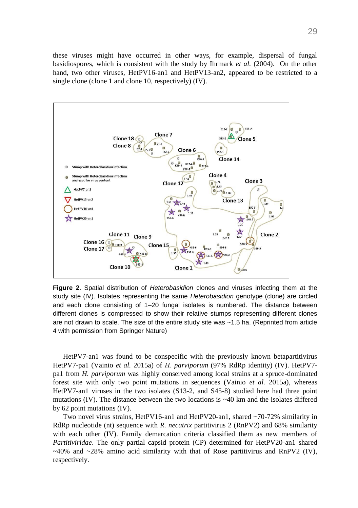these viruses might have occurred in other ways, for example, dispersal of fungal basidiospores, which is consistent with the study by Ihrmark *et al.* (2004). On the other hand, two other viruses, HetPV16-an1 and HetPV13-an2, appeared to be restricted to a single clone (clone 1 and clone 10, respectively) (IV).



**Figure 2.** Spatial distribution of *Heterobasidion* clones and viruses infecting them at the study site (IV). Isolates representing the same *Heterobasidion* genotype (clone) are circled and each clone consisting of 1–20 fungal isolates is numbered. The distance between different clones is compressed to show their relative stumps representing different clones are not drawn to scale. The size of the entire study site was ~1.5 ha. (Reprinted from article 4 with permission from Springer Nature)

HetPV7-an1 was found to be conspecific with the previously known betapartitivirus HetPV7-pa1 (Vainio *et al.* 2015a) of *H*. *parviporum* (97% RdRp identity) (IV). HetPV7 pa1 from *H. parviporum* was highly conserved among local strains at a spruce-dominated forest site with only two point mutations in sequences (Vainio *et al.* 2015a), whereas HetPV7-an1 viruses in the two isolates (S13-2, and S45-8) studied here had three point mutations (IV). The distance between the two locations is  $\sim$ 40 km and the isolates differed by 62 point mutations (IV).

Two novel virus strains, HetPV16-an1 and HetPV20-an1, shared ~70-72% similarity in RdRp nucleotide (nt) sequence with *R. necatrix* partitivirus 2 (RnPV2) and 68% similarity with each other (IV). Family demarcation criteria classified them as new members of *Partitiviridae*. The only partial capsid protein (CP) determined for HetPV20-an1 shared  $\sim$ 40% and  $\sim$ 28% amino acid similarity with that of Rose partitivirus and RnPV2 (IV), respectively.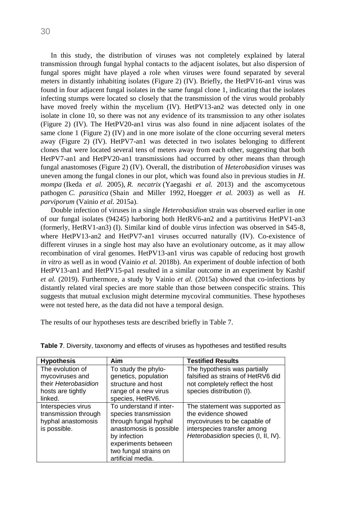In this study, the distribution of viruses was not completely explained by lateral transmission through fungal hyphal contacts to the adjacent isolates, but also dispersion of fungal spores might have played a role when viruses were found separated by several meters in distantly inhabiting isolates (Figure 2) (IV). Briefly, the HetPV16-an1 virus was found in four adjacent fungal isolates in the same fungal clone 1, indicating that the isolates infecting stumps were located so closely that the transmission of the virus would probably have moved freely within the mycelium (IV). HetPV13-an2 was detected only in one isolate in clone 10, so there was not any evidence of its transmission to any other isolates (Figure 2) (IV). The HetPV20-an1 virus was also found in nine adjacent isolates of the same clone 1 (Figure 2) (IV) and in one more isolate of the clone occurring several meters away (Figure 2) (IV). HetPV7-an1 was detected in two isolates belonging to different clones that were located several tens of meters away from each other, suggesting that both HetPV7-an1 and HetPV20-an1 transmissions had occurred by other means than through fungal anastomoses (Figure 2) (IV). Overall, the distribution of *Heterobasidion* viruses was uneven among the fungal clones in our plot, which was found also in previous studies in *H. mompa* [\(Ikeda](https://www.nature.com/articles/ismej2014145#ref-CR20) *et al.* 2005), *R. necatrix* [\(Yaegashi](https://www.nature.com/articles/ismej2014145#ref-CR55) *et al.* 2013) and the ascomycetous pathogen *C. parasitica* [\(Shain and Miller 1992,](https://www.nature.com/articles/ismej2014145#ref-CR42) [Hoegger](https://www.nature.com/articles/ismej2014145#ref-CR13) *et al.* 2003) as well as *H. parviporum* (Vainio *et al.* 2015a).

Double infection of viruses in a single *Heterobasidion* strain was observed earlier in one of our fungal isolates (94245) harboring both HetRV6-an2 and a partitivirus HetPV1-an3 (formerly, HetRV1-an3) (I). Similar kind of double virus infection was observed in S45-8, where HetPV13-an2 and HetPV7-an1 viruses occurred naturally (IV). Co-existence of different viruses in a single host may also have an evolutionary outcome, as it may allow recombination of viral genomes. HetPV13-an1 virus was capable of reducing host growth *in vitro* as well as in wood (Vainio *et al.* 2018b). An experiment of double infection of both HetPV13-an1 and HetPV15-pa1 resulted in a similar outcome in an experiment by Kashif *et al.* (2019). Furthermore, a study by Vainio *et al.* (2015a) showed that co-infections by distantly related viral species are more stable than those between conspecific strains. This suggests that mutual exclusion might determine mycoviral communities. These hypotheses were not tested here, as the data did not have a temporal design.

The results of our hypotheses tests are described briefly in Table 7.

| <b>Hypothesis</b>                                                                           | Aim                                                                                                                                                                                      | <b>Testified Results</b>                                                                                                                                    |
|---------------------------------------------------------------------------------------------|------------------------------------------------------------------------------------------------------------------------------------------------------------------------------------------|-------------------------------------------------------------------------------------------------------------------------------------------------------------|
| The evolution of<br>mycoviruses and<br>their Heterobasidion<br>hosts are tightly<br>linked. | To study the phylo-<br>genetics, population<br>structure and host<br>range of a new virus<br>species, HetRV6.                                                                            | The hypothesis was partially<br>falsified as strains of HetRV6 did<br>not completely reflect the host<br>species distribution (I).                          |
| Interspecies virus<br>transmission through<br>hyphal anastomosis<br>is possible.            | To understand if inter-<br>species transmission<br>through fungal hyphal<br>anastomosis is possible<br>by infection<br>experiments between<br>two fungal strains on<br>artificial media. | The statement was supported as<br>the evidence showed<br>mycoviruses to be capable of<br>interspecies transfer among<br>Heterobasidion species (I, II, IV). |

**Table 7**. Diversity, taxonomy and effects of viruses as hypotheses and testified results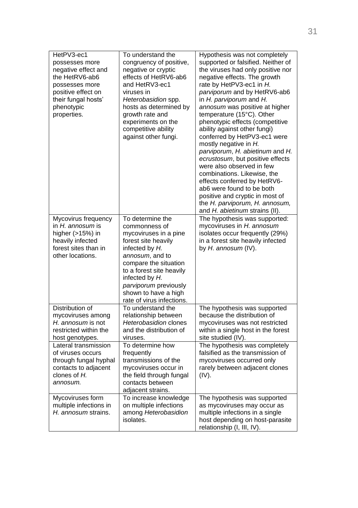| HetPV3-ec1<br>possesses more<br>negative effect and<br>the HetRV6-ab6<br>possesses more<br>positive effect on<br>their fungal hosts'<br>phenotypic<br>properties. | To understand the<br>congruency of positive,<br>negative or cryptic<br>effects of HetRV6-ab6<br>and HetRV3-ec1<br>viruses in<br>Heterobasidion spp.<br>hosts as determined by<br>growth rate and<br>experiments on the<br>competitive ability<br>against other fungi.       | Hypothesis was not completely<br>supported or falsified. Neither of<br>the viruses had only positive nor<br>negative effects. The growth<br>rate by HetPV3-ec1 in H.<br>parviporum and by HetRV6-ab6<br>in H. parviporum and H.<br>annosum was positive at higher<br>temperature (15°C). Other<br>phenotypic effects (competitive<br>ability against other fungi)<br>conferred by HetPV3-ec1 were<br>mostly negative in H.<br>parviporum, H. abietinum and H.<br>ecrustosum, but positive effects<br>were also observed in few<br>combinations. Likewise, the<br>effects conferred by HetRV6-<br>ab6 were found to be both<br>positive and cryptic in most of<br>the H. parviporum, H. annosum,<br>and H. abietinum strains (II). |
|-------------------------------------------------------------------------------------------------------------------------------------------------------------------|-----------------------------------------------------------------------------------------------------------------------------------------------------------------------------------------------------------------------------------------------------------------------------|-----------------------------------------------------------------------------------------------------------------------------------------------------------------------------------------------------------------------------------------------------------------------------------------------------------------------------------------------------------------------------------------------------------------------------------------------------------------------------------------------------------------------------------------------------------------------------------------------------------------------------------------------------------------------------------------------------------------------------------|
| Mycovirus frequency<br>in H. annosum is<br>higher (>15%) in<br>heavily infected<br>forest sites than in<br>other locations.                                       | To determine the<br>commonness of<br>mycoviruses in a pine<br>forest site heavily<br>infected by H.<br>annosum, and to<br>compare the situation<br>to a forest site heavily<br>infected by H.<br>parviporum previously<br>shown to have a high<br>rate of virus infections. | The hypothesis was supported:<br>mycoviruses in H. annosum<br>isolates occur frequently (29%)<br>in a forest site heavily infected<br>by H. annosum (IV).                                                                                                                                                                                                                                                                                                                                                                                                                                                                                                                                                                         |
| Distribution of<br>mycoviruses among<br>H. annosum is not<br>restricted within the<br>host genotypes.                                                             | To understand the<br>relationship between<br>Heterobasidion clones<br>and the distribution of<br>viruses.                                                                                                                                                                   | The hypothesis was supported<br>because the distribution of<br>mycoviruses was not restricted<br>within a single host in the forest<br>site studied (IV).                                                                                                                                                                                                                                                                                                                                                                                                                                                                                                                                                                         |
| Lateral transmission<br>of viruses occurs<br>through fungal hyphal<br>contacts to adjacent<br>clones of H.<br>annosum.                                            | To determine how<br>frequently<br>transmissions of the<br>mvcoviruses occur in<br>the field through fungal<br>contacts between<br>adjacent strains.                                                                                                                         | The hypothesis was completely<br>falsified as the transmission of<br>mycoviruses occurred only<br>rarely between adjacent clones<br>(IV).                                                                                                                                                                                                                                                                                                                                                                                                                                                                                                                                                                                         |
| Mycoviruses form<br>multiple infections in<br>H. annosum strains.                                                                                                 | To increase knowledge<br>on multiple infections<br>among Heterobasidion<br>isolates.                                                                                                                                                                                        | The hypothesis was supported<br>as mycoviruses may occur as<br>multiple infections in a single<br>host depending on host-parasite<br>relationship (I, III, IV).                                                                                                                                                                                                                                                                                                                                                                                                                                                                                                                                                                   |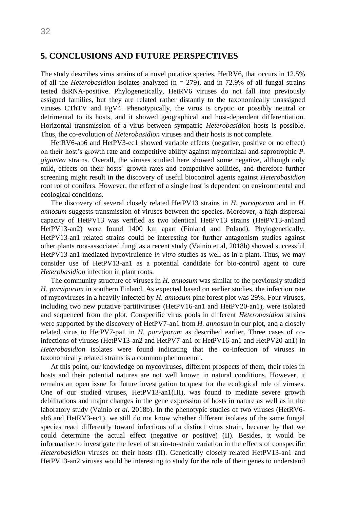## <span id="page-31-0"></span>**5. CONCLUSIONS AND FUTURE PERSPECTIVES**

The study describes virus strains of a novel putative species, HetRV6, that occurs in 12.5% of all the *Heterobasidion* isolates analyzed  $(n = 279)$ , and in 72.9% of all fungal strains tested dsRNA-positive. Phylogenetically, HetRV6 viruses do not fall into previously assigned families, but they are related rather distantly to the taxonomically unassigned viruses CThTV and FgV4. Phenotypically, the virus is cryptic or possibly neutral or detrimental to its hosts, and it showed geographical and host-dependent differentiation. Horizontal transmission of a virus between sympatric *Heterobasidion* hosts is possible. Thus, the co-evolution of *Heterobasidion* viruses and their hosts is not complete.

HetRV6-ab6 and HetPV3-ec1 showed variable effects (negative, positive or no effect) on their host's growth rate and competitive ability against mycorrhizal and saprotrophic *P. gigantea* strains. Overall, the viruses studied here showed some negative, although only mild, effects on their hosts´ growth rates and competitive abilities, and therefore further screening might result in the discovery of useful biocontrol agents against *Heterobasidion* root rot of conifers. However, the effect of a single host is dependent on environmental and ecological conditions.

The discovery of several closely related HetPV13 strains in *H. parviporum* and in *H. annosum* suggests transmission of viruses between the species. Moreover, a high dispersal capacity of HetPV13 was verified as two identical HetPV13 strains (HetPV13-an1and HetPV13-an2) were found 1400 km apart (Finland and Poland). Phylogenetically, HetPV13-an1 related strains could be interesting for further antagonism studies against other plants root-associated fungi as a recent study (Vainio et al, 2018b) showed successful HetPV13-an1 mediated hypovirulence *in vitro* studies as well as in a plant. Thus, we may consider use of HetPV13-an1 as a potential candidate for bio-control agent to cure *Heterobasidion* infection in plant roots.

The community structure of viruses in *H. annosum* was similar to the previously studied *H. parviporum* in southern Finland. As expected based on earlier studies, the infection rate of mycoviruses in a heavily infected by *H. annosum* pine forest plot was 29%. Four viruses, including two new putative partitiviruses (HetPV16-an1 and HetPV20-an1), were isolated and sequenced from the plot. Conspecific virus pools in different *Heterobasidion* strains were supported by the discovery of HetPV7-an1 from *H. annosum* in our plot, and a closely related virus to HetPV7-pa1 in *H. parviporum* as described earlier. Three cases of coinfections of viruses (HetPV13-an2 and HetPV7-an1 or HetPV16-an1 and HetPV20-an1) in *Heterobasidion* isolates were found indicating that the co-infection of viruses in taxonomically related strains is a common phenomenon.

At this point, our knowledge on mycoviruses, different prospects of them, their roles in hosts and their potential natures are not well known in natural conditions. However, it remains an open issue for future investigation to quest for the ecological role of viruses. One of our studied viruses, HetPV13-an1(III), was found to mediate severe growth debilitations and major changes in the gene expression of hosts in nature as well as in the laboratory study (Vainio *et al.* 2018b). In the phenotypic studies of two viruses (HetRV6 ab6 and HetRV3-ec1), we still do not know whether different isolates of the same fungal species react differently toward infections of a distinct virus strain, because by that we could determine the actual effect (negative or positive) (II). Besides, it would be informative to investigate the level of strain-to-strain variation in the effects of conspecific *Heterobasidion* viruses on their hosts (II). Genetically closely related HetPV13-an1 and HetPV13-an2 viruses would be interesting to study for the role of their genes to understand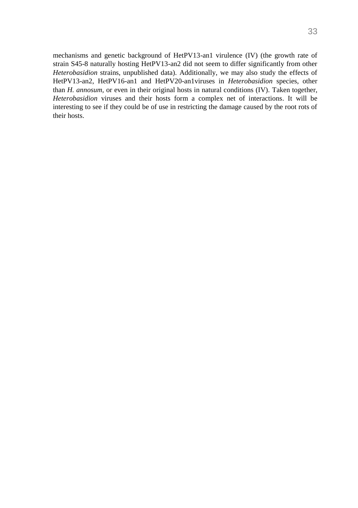mechanisms and genetic background of HetPV13-an1 virulence (IV) (the growth rate of strain S45-8 naturally hosting HetPV13-an2 did not seem to differ significantly from other *Heterobasidion* strains, unpublished data). Additionally, we may also study the effects of HetPV13-an2, HetPV16-an1 and HetPV20-an1viruses in *Heterobasidion* species, other than *H. annosum,* or even in their original hosts in natural conditions (IV). Taken together, *Heterobasidion* viruses and their hosts form a complex net of interactions. It will be interesting to see if they could be of use in restricting the damage caused by the root rots of their hosts.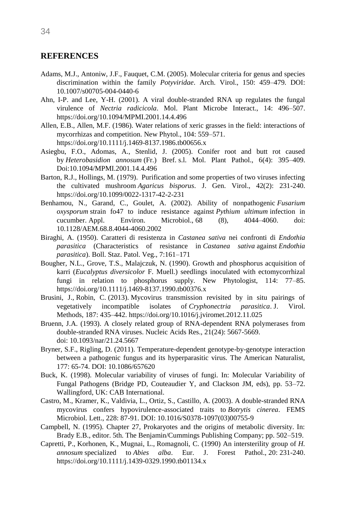## <span id="page-33-0"></span>**REFERENCES**

- Adams, M.J., Antoniw, J.F., Fauquet, C.M. (2005). Molecular criteria for genus and species discrimination within the family *Potyviridae*. Arch. Virol., 150: 459–479. DOI: 10.1007/s00705-004-0440-6
- Ahn, I-P. and Lee, Y-H. (2001). A viral double-stranded RNA up regulates the fungal virulence of *Nectria radicicola*. Mol. Plant Microbe Interact., 14: 496–507. <https://doi.org/10.1094/MPMI.2001.14.4.496>
- Allen, E.B., Allen, M.F. (1986). Water relations of xeric grasses in the field: interactions of mycorrhizas and competition. New Phytol., 104: 559–571. <https://doi.org/10.1111/j.1469-8137.1986.tb00656.x>
- Asiegbu, F.O., Adomas, A., Stenlid, J. (2005). Conifer root and butt rot caused by *Heterobasidion annosum* (Fr.) Bref. s.l. Mol. Plant Pathol., 6(4): 395–409. Doi:10.1094/MPMI.2001.14.4.496
- [Barton,](https://www.microbiologyresearch.org/search?value1=R.+J.+Barton&option1=author&noRedirect=true) R.J., Hollings, M. (1979). Purification and some properties of two viruses infecting the cultivated mushroom *Agaricus bisporus*. J. Gen. Virol., 42(2): 231-240. <https://doi.org/10.1099/0022-1317-42-2-231>
- Benhamou, N., Garand, C., Goulet, A. (2002). Ability of nonpathogenic *Fusarium oxysporum* strain fo47 to induce resistance against *Pythium ultimum* infection in cucumber. Appl. Environ. Microbiol., 68 (8), 4044–4060. doi: 10.1128/AEM.68.8.4044-4060.2002
- Biraghi, A. (1950). Caratteri di resistenza in *Castanea sativa* nei confronti di *Endothia parasitica* (Characteristics of resistance in *Castanea sativa* against *Endothia parasitica*). Boll. Staz. Patol. Veg., 7:161–171
- Bougher, N.L., Grove, T.S., Malajczuk, N. (1990). Growth and phosphorus acquisition of karri (*Eucalyptus diversicolor* F. Muell.) seedlings inoculated with ectomycorrhizal fungi in relation to phosphorus supply. New Phytologist, 114: 77–85. <https://doi.org/10.1111/j.1469-8137.1990.tb00376.x>
- Brusini, J., Robin, C. (2013). Mycovirus transmission revisited by in situ pairings of vegetatively incompatible isolates of *Cryphonectria parasitica*. J. Virol. Methods, 187: 435–442[. https://doi.org/10.1016/j.jviromet.2012.11.025](https://doi.org/10.1016/j.jviromet.2012.11.025)
- Bruenn, J.A. (1993). A closely related group of RNA-dependent RNA polymerases from double-stranded RNA viruses. Nucleic Acids Res., 21(24): 5667-5669. doi: [10.1093/nar/21.24.5667](https://dx.doi.org/10.1093%2Fnar%2F21.24.5667)
- Bryner, S.F., Rigling, D. (2011). Temperature-dependent genotype-by-genotype interaction between a pathogenic fungus and its hyperparasitic virus. The American Naturalist, 177: 65-74. DOI: 10.1086/657620
- Buck, K. (1998). Molecular variability of viruses of fungi. In: Molecular Variability of Fungal Pathogens (Bridge PD, Couteaudier Y, and Clackson JM, eds), pp. 53–72. Wallingford, UK: CAB International.
- Castro, M., Kramer, K., Valdivia, L., Ortiz, S., Castillo, A. (2003). A double-stranded RNA mycovirus confers hypovirulence-associated traits to *Botrytis cinerea*. FEMS Microbiol. Lett., 228: 87-91. DOI: [10.1016/S0378-1097\(03\)00755-9](https://doi.org/10.1016/s0378-1097(03)00755-9)
- Campbell, N. (1995). Chapter 27, Prokaryotes and the origins of metabolic diversity. In: Brady E.B., editor. 5th. The Benjamin/Cummings Publishing Company; pp. 502–519.
- Capretti, P., Korhonen, K., Mugnai, L., Romagnoli, C. (1990) An intersterility group of *H. annosum* specialized to *Abies alba*. Eur. J. Forest Pathol., 20: 231-240. <https://doi.org/10.1111/j.1439-0329.1990.tb01134.x>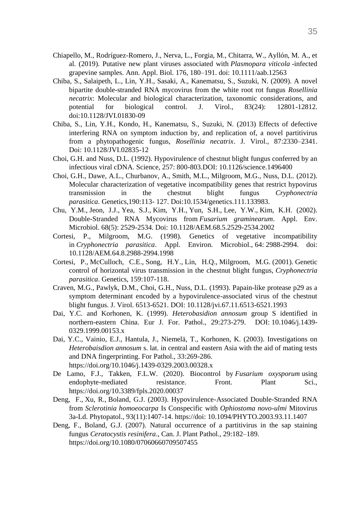- Chiapello, M., Rodríguez-Romero, J., Nerva, L., Forgia, M., Chitarra, W., Ayllón, M. A., et al. (2019). Putative new plant viruses associated with *Plasmopara viticola* -infected grapevine samples. Ann. Appl. Biol. 176, 180–191. doi: 10.1111/aab.12563
- Chiba, S., Salaipeth, L., Lin, Y.H., Sasaki, A., Kanematsu, S., Suzuki, N. (2009). A novel bipartite double-stranded RNA mycovirus from the white root rot fungus *Rosellinia necatrix*: Molecular and biological characterization, taxonomic considerations, and potential for biological control. J. Virol., 83(24): 12801-12812. doi:10.1128/JVI.01830-09
- Chiba, S., Lin, Y.H., Kondo, H., Kanematsu, S., Suzuki, N. (2013) Effects of defective interfering RNA on symptom induction by, and replication of, a novel partitivirus from a phytopathogenic fungus, *Rosellinia necatrix*. J. Virol., 87:2330–2341. Doi: [10.1128/JVI.02835-12](https://dx.doi.org/10.1128%2FJVI.02835-12)
- Choi, G.H. and Nuss, D.L. (1992). Hypovirulence of chestnut blight fungus conferred by an infectious viral cDNA. Science, 257: 800-803.DOI: [10.1126/science.1496400](https://doi.org/10.1126/science.1496400)
- Choi, G.H., Dawe, A.L., Churbanov, A., Smith, M.L., Milgroom, M.G., Nuss, D.L. (2012). Molecular characterization of vegetative incompatibility genes that restrict hypovirus transmission in the chestnut blight fungus *Cryphonectria parasitica*. Genetics,190:113- 127. Doi:10.1534/genetics.111.133983.
- Chu, Y.M., Jeon, J.J., Yea, S.J., Kim, Y.H., Yun, S.H., Lee, Y.W., Kim, K.H. (2002). Double-Stranded RNA Mycovirus from *Fusarium graminearum*. Appl. Env. Microbiol. 68(5): 2529-2534. Doi: [10.1128/AEM.68.5.2529-2534.2002](https://dx.doi.org/10.1128%2FAEM.68.5.2529-2534.2002)
- [Cortesi, P., Milgroom, M.G.](https://www.sciencedirect.com/science/article/pii/S0042682218303714#bib11) (1998). Genetics of vegetative incompatibility in *Cryphonectria parasitica*. Appl. Environ. Microbiol., 64: 2988-2994. doi: 10.1128/AEM.64.8.2988-2994.1998
- Cortesi, P., McCulloch, C.E., Song, H.Y., Lin, H.Q., Milgroom, M.G. (2001). Genetic control of horizontal virus transmission in the chestnut blight fungus, *Cryphonectria parasitica*. Genetics, 159:107-118.
- Craven, M.G., Pawlyk, D.M., Choi, G.H., Nuss, D.L. (1993). Papain-like protease p29 as a symptom determinant encoded by a hypovirulence-associated virus of the chestnut blight fungus. J. Virol. 6513-6521. DOI: [10.1128/jvi.67.11.6513-6521.1993](https://doi.org/10.1128/jvi.67.11.6513-6521.1993)
- Dai, Y.C. and Korhonen, K. (1999). *Heterobasidion annosum* group S identified in northern-eastern China. Eur J. For. Pathol., 29:273-279. DOI: [10.1046/j.1439-](https://www.researchgate.net/deref/http%3A%2F%2Fdx.doi.org%2F10.1046%2Fj.1439-0329.1999.00153.x?_sg%5B0%5D=s1-Fwu_3vpVKzIkedUK5H5lXYcII8zNAIfC4oUpuHYWoC3ZfqYT-uGigDHqJRQoVym83U09Ymywtc0L_ALa6AOtJrQ.SuNySANEtEfFy1ShAEf-qRAgg7NEAlAZZqZHbtGGD2JQ3LeBq5D5qyPMNz0DJFjeVBaDVE4puDi42S9HOrDWfg) [0329.1999.00153.x](https://www.researchgate.net/deref/http%3A%2F%2Fdx.doi.org%2F10.1046%2Fj.1439-0329.1999.00153.x?_sg%5B0%5D=s1-Fwu_3vpVKzIkedUK5H5lXYcII8zNAIfC4oUpuHYWoC3ZfqYT-uGigDHqJRQoVym83U09Ymywtc0L_ALa6AOtJrQ.SuNySANEtEfFy1ShAEf-qRAgg7NEAlAZZqZHbtGGD2JQ3LeBq5D5qyPMNz0DJFjeVBaDVE4puDi42S9HOrDWfg)
- Dai, Y.C., Vainio, E.J., Hantula, J., Niemelä, T., Korhonen, K. (2003). Investigations on *Heterobaisdion annosum* s. lat. in central and eastern Asia with the aid of mating tests and DNA fingerprinting. For Pathol., 33:269-286. <https://doi.org/10.1046/j.1439-0329.2003.00328.x>
- De Lamo, F.J., Takken, F.L.W. (2020). Biocontrol by *Fusarium oxysporum* using endophyte-mediated resistance. Front. Plant Sci., <https://doi.org/10.3389/fpls.2020.00037>
- [Deng, F.](https://www.ncbi.nlm.nih.gov/pubmed/?term=Deng%20F%5BAuthor%5D&cauthor=true&cauthor_uid=18944069), [Xu,](https://www.ncbi.nlm.nih.gov/pubmed/?term=Xu%20R%5BAuthor%5D&cauthor=true&cauthor_uid=18944069) R., [Boland,](https://www.ncbi.nlm.nih.gov/pubmed/?term=Boland%20GJ%5BAuthor%5D&cauthor=true&cauthor_uid=18944069) G.J. (2003). Hypovirulence-Associated Double-Stranded RNA from *Sclerotinia homoeocarpa* Is Conspecific with *Ophiostoma novo-ulmi* Mitovirus 3a-Ld. Phytopatol., 93(11):1407-14. https://doi: 10.1094/PHYTO.2003.93.11.1407
- Deng, F., Boland, G.J. (2007). Natural occurrence of a partitivirus in the sap staining fungus *Ceratocystis resinifera*., Can. J. Plant Pathol., 29:182–189. <https://doi.org/10.1080/07060660709507455>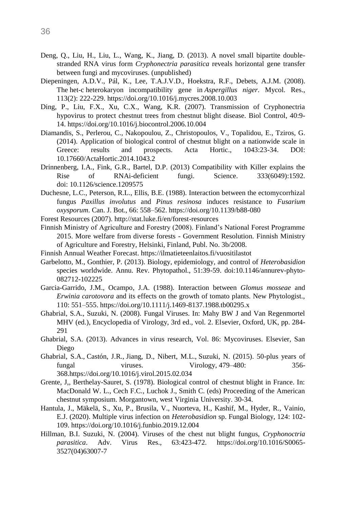- Deng, Q., Liu, H., Liu, L., Wang, K., Jiang, D. (2013). A novel small bipartite doublestranded RNA virus form *Cryphonectria parasitica* reveals horizontal gene transfer between fungi and mycoviruses. (unpublished)
- [Diepeningen,](https://www.sciencedirect.com/science/article/pii/S0953756208002396#!) A.D.V., [Pál,](https://www.sciencedirect.com/science/article/pii/S0953756208002396#!) K., Lee, [T.A.J.V.D., Hoekstra,](https://www.sciencedirect.com/science/article/pii/S0953756208002396#!) R.F., [Debets,](https://www.sciencedirect.com/science/article/pii/S0953756208002396#!) A.J.M. (2008). The het-c heterokaryon incompatibility gene in *Aspergillus niger*. Mycol. Res., 113(2): 222-229.<https://doi.org/10.1016/j.mycres.2008.10.003>
- Ding, P., Liu, F.X., Xu, C.X., Wang, K.R. (2007). Transmission of Cryphonectria hypovirus to protect chestnut trees from chestnut blight disease. Biol Control, 40:9- 14.<https://doi.org/10.1016/j.biocontrol.2006.10.004>
- Diamandis, S., Perlerou, C., Nakopoulou, Z., Christopoulos, V., Topalidou, E., Tziros, G. (2014). Application of biological control of chestnut blight on a nationwide scale in Greece: results and prospects. Acta Hortic., 1043:23-34. DOI: 10.17660/ActaHortic.2014.1043.2
- Drinnenberg, I.A., Fink, G.R., Bartel, D.P. (2013) Compatibility with Killer explains the Rise of RNAi-deficient fungi. [Science. 333\(6049\):1592.](https://www.ncbi.nlm.nih.gov/entrez/eutils/elink.fcgi?dbfrom=pubmed&retmode=ref&cmd=prlinks&id=21921191) doi: [10.1126/science.1209575](https://dx.doi.org/10.1126%2Fscience.1209575)
- Duchesne, L.C., Peterson, R.L., Ellis, B.E. (1988). Interaction between the ectomycorrhizal fungus *Paxillus involutus* and *Pinus resinosa* induces resistance to *Fusarium oxysporum*. Can. J. Bot., 66: 558–562.<https://doi.org/10.1139/b88-080>
- Forest Resources (2007).<http://stat.luke.fi/en/forest-resources>
- Finnish Ministry of Agriculture and Forestry (2008). Finland's National Forest Programme 2015. More welfare from diverse forests - Government Resolution. Finnish Ministry of Agriculture and Forestry, Helsinki, Finland, Publ. No. 3b/2008.
- Finnish Annual Weather Forecast. <https://ilmatieteenlaitos.fi/vuositilastot>
- Garbelotto, M., Gonthier, P. (2013). Biology, epidemiology, and control of *Heterobasidion* species worldwide. Annu. Rev. Phytopathol., 51:39-59. doi:10.1146/annurev-phyto-082712-102225
- Garcia-Garrido, J.M., Ocampo, J.A. (1988). Interaction between *Glomus mosseae* and *Erwinia carotovora* and its effects on the growth of tomato plants. New Phytologist., 110: 551–555[. https://doi.org/10.1111/j.1469-8137.1988.tb00295.x](https://doi.org/10.1111/j.1469-8137.1988.tb00295.x)
- Ghabrial, S.A., Suzuki, N. (2008). Fungal Viruses. In: Mahy BW J and Van Regenmortel MHV (ed.), Encyclopedia of Virology, 3rd ed., vol. 2. Elsevier, Oxford, UK, pp. 284- 291
- Ghabrial, S.A. (2013). Advances in virus research, Vol. 86: Mycoviruses. Elsevier, San Diego
- Ghabrial, S.A., Castón, J.R., Jiang, D., Nibert, M.L., Suzuki, N. (2015). 50-plus years of fungal viruses. Virology, 479–480: 356- 36[8.https://doi.org/10.1016/j.virol.2015.02.034](https://doi.org/10.1016/j.virol.2015.02.034)
- Grente, J,, Berthelay-Sauret, S. (1978). Biological control of chestnut blight in France. In: MacDonald W. L., Cech F.C., Luchok J., Smith C. (eds) Proceeding of the American chestnut symposium. Morgantown, west Virginia University. 30-34.
- Hantula, J., Mäkelä, S., Xu, P., Brusila, V., Nuorteva, H., Kashif, M., Hyder, R., Vainio, E.J. (2020). Multiple virus infection on *Heterobasidion* sp. Fungal Biology, 124: 102- 109.<https://doi.org/10.1016/j.funbio.2019.12.004>
- Hillman, B.I. Suzuki, N. (2004). Viruses of the chest nut blight fungus, *Cryphonoctria parasitica*. Adv. Virus Res., 63:423-472. https://doi.org/10.1016/S0065- 3527(04)63007-7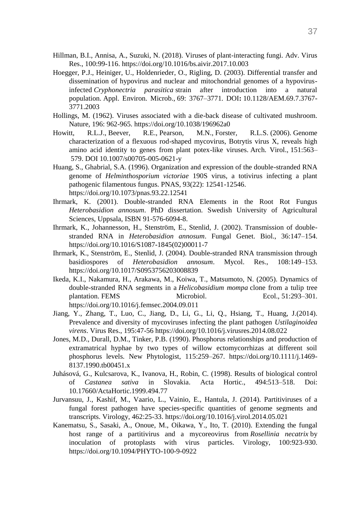- Hillman, B.I., Annisa, A., Suzuki, N. (2018). Viruses of plant-interacting fungi. Adv. Virus Res., 100:99-116[. https://doi.org/10.1016/bs.aivir.2017.10.003](https://doi.org/10.1016/bs.aivir.2017.10.003)
- Hoegger, P.J., Heiniger, U., Holdenrieder, O., Rigling, D. (2003). Differential transfer and dissemination of hypovirus and nuclear and mitochondrial genomes of a hypovirusinfected *Cryphonectria parasitica* strain after introduction into a natural population. Appl. Environ. Microb., 69: 3767–3771. DOI**:** 10.1128/AEM.69.7.3767- 3771.2003
- Hollings, M. (1962). Viruses associated with a die-back disease of cultivated mushroom. Nature, 196: 962-965. https://doi.org/10.1038/196962a0
- Howitt, R.L.J., Beever, R.E., Pearson, M.N., Forster, R.L.S. (2006). Genome characterization of a flexuous rod-shaped mycovirus, Botrytis virus X, reveals high amino acid identity to genes from plant potex-like viruses. Arch. Virol., 151:563– 579. DOI 10.1007/s00705-005-0621-y
- Huang, S., Ghabrial, S.A. (1996). Organization and expression of the double-stranded RNA genome of *Helminthosporium victoriae* 190S virus, a totivirus infecting a plant pathogenic filamentous fungus. PNAS, 93(22): 12541-12546. <https://doi.org/10.1073/pnas.93.22.12541>
- Ihrmark, K. (2001). Double-stranded RNA Elements in the Root Rot Fungus *Heterobasidion annosum*. PhD dissertation. Swedish University of Agricultural Sciences, Uppsala, ISBN 91-576-6094-8.
- Ihrmark, K., Johannesson, H., Stenström, E., Stenlid, J. (2002). Transmission of doublestranded RNA in *Heterobasidion annosum*. Fungal Genet. Biol., 36:147–154. [https://doi.org/10.1016/S1087-1845\(02\)00011-7](https://doi.org/10.1016/S1087-1845(02)00011-7)
- Ihrmark, K., Stenström, E., Stenlid, J. (2004). Double-stranded RNA transmission through basidiospores of *Heterobasidion annosum*. Mycol. Res., 108:149–153. <https://doi.org/10.1017/S0953756203008839>
- Ikeda, K.I., Nakamura, H., Arakawa, M., Koiwa, T., Matsumoto, N. (2005). Dynamics of double-stranded RNA segments in a *Helicobasidium mompa* clone from a tulip tree plantation. FEMS Microbiol. Ecol., 51:293-301. <https://doi.org/10.1016/j.femsec.2004.09.011>
- Jiang, Y., Zhang, T., Luo, C., Jiang, D., Li, G., Li, Q., Hsiang, T., Huang, J.(2014). Prevalence and diversity of mycoviruses infecting the plant pathogen *Ustilaginoidea virens*. Virus Res., 195:47-56<https://doi.org/10.1016/j.virusres.2014.08.022>
- Jones, M.D., Durall, D.M., Tinker, P.B. (1990). Phosphorus relationships and production of extramatrical hyphae by two types of willow ectomycorrhizas at different soil phosphorus levels. New Phytologist, 115:259–267. [https://doi.org/10.1111/j.1469-](https://doi.org/10.1111/j.1469-8137.1990.tb00451.x) [8137.1990.tb00451.x](https://doi.org/10.1111/j.1469-8137.1990.tb00451.x)
- Juhásová, G., Kulcsarova, K., Ivanova, H., Robin, C. (1998). Results of biological control of *Castanea sativa* in Slovakia. Acta Hortic., 494:513–518. Doi: [10.17660/ActaHortic.1999.494.77](https://doi.org/10.17660/ActaHortic.1999.494.77)
- [Jurvansuu,](https://www.sciencedirect.com/science/article/pii/S0042682214002359#!) J., [Kashif,](https://www.sciencedirect.com/science/article/pii/S0042682214002359#!) M., [Vaario,](https://www.sciencedirect.com/science/article/pii/S0042682214002359#!) L., [Vainio,](https://www.sciencedirect.com/science/article/pii/S0042682214002359#!) E., [Hantula,](https://www.sciencedirect.com/science/article/pii/S0042682214002359#!) J. (2014). Partitiviruses of a fungal forest pathogen have species-specific quantities of genome segments and transcripts. Virology, 462:25-33.<https://doi.org/10.1016/j.virol.2014.05.021>
- Kanematsu, S., Sasaki, A., Onoue, M., Oikawa, Y., Ito, T. (2010). Extending the fungal host range of a partitivirus and a mycoreovirus from *Rosellinia necatrix* by inoculation of protoplasts with virus particles. Virology, 100:923-930. <https://doi.org/10.1094/PHYTO-100-9-0922>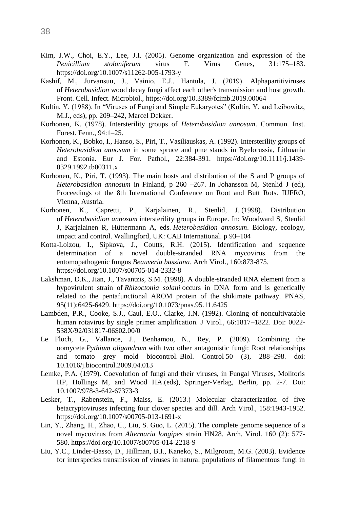- Kim, J.W., Choi, E.Y., Lee, J.I. (2005). Genome organization and expression of the *Penicillium stoloniferum* virus F. Virus Genes, 31:175–183. https://doi.org/10.1007/s11262-005-1793-y
- Kashif, M., Jurvansuu, J., Vainio, E.J., Hantula, J. (2019). Alphapartitiviruses of *Heterobasidion* wood decay fungi affect each other's transmission and host growth. Front. Cell. Infect. Microbiol.,<https://doi.org/10.3389/fcimb.2019.00064>
- Koltin, Y. (1988). In "Viruses of Fungi and Simple Eukaryotes" (Koltin, Y. and Leibowitz, M.J., eds), pp. 209–242, Marcel Dekker.
- Korhonen, K. (1978). Intersterility groups of *Heterobasidion annosum*. Commun. Inst. Forest. Fenn., 94:1–25.
- Korhonen, K., Bobko, I., Hanso, S., Piri, T., Vasiliauskas, A. (1992). Intersterility groups of *Heterobasidion annosum* in some spruce and pine stands in Byelorussia, Lithuania and Estonia. Eur J. For. Pathol., 22:384-391. [https://doi.org/10.1111/j.1439-](https://doi.org/10.1111/j.1439-0329.1992.tb00311.x) [0329.1992.tb00311.x](https://doi.org/10.1111/j.1439-0329.1992.tb00311.x)
- Korhonen, K., Piri, T. (1993). The main hosts and distribution of the S and P groups of *Heterobasidion annosum* in Finland, p 260 –267. In Johansson M, Stenlid J (ed), Proceedings of the 8th International Conference on Root and Butt Rots. IUFRO, Vienna, Austria.
- Korhonen, K., Capretti, P., Karjalainen, R., Stenlid, J. (1998). Distribution of *Heterobasidion annosum* intersterility groups in Europe. In: Woodward S, Stenlid J, Karjalainen R, Hüttermann A, eds. *Heterobasidion annosum*. Biology, ecology, impact and control. Wallingford, UK: CAB International. p 93–104
- Kotta-Loizou, I., Sipkova, J., Coutts, R.H. (2015). Identification and sequence determination of a novel double-stranded RNA mycovirus from the entomopathogenic fungus *Beauveria bassiana*. Arch Virol., 160:873-875. <https://doi.org/10.1007/s00705-014-2332-8>
- Lakshman, D.K., Jian, J., Tavantzis, S.M. (1998). A double-stranded RNA element from a hypovirulent strain of *Rhizoctonia solani* occurs in DNA form and is genetically related to the pentafunctional AROM protein of the shikimate pathway. PNAS, 95(11):6425-6429.<https://doi.org/10.1073/pnas.95.11.6425>
- Lambden, P.R., Cooke, S.J., Caul, E.O., Clarke, I.N. (1992). Cloning of noncultivatable human rotavirus by single primer amplification. J Virol., 66:1817–1822. Doi: 0022- 538X/92/031817-06\$02.00/0
- Le Floch, G., Vallance, J., Benhamou, N., Rey, P. (2009). Combining the oomycete *Pythium oligandrum* with two other antagonistic fungi: Root relationships and tomato grey mold biocontrol. Biol. Control 50 (3), 288–298. doi: 10.1016/j.biocontrol.2009.04.013
- Lemke, P.A. (1979). Coevolution of fungi and their viruses, in Fungal Viruses, Molitoris HP, Hollings M, and Wood HA.(eds), Springer-Verlag, Berlin, pp. 2-7. Doi: 10.1007/978-3-642-67373-3
- Lesker, T., Rabenstein, F., Maiss, E. (2013.) Molecular characterization of five betacryptoviruses infecting four clover species and dill. Arch Virol., 158:1943-1952. <https://doi.org/10.1007/s00705-013-1691-x>
- Lin, Y., Zhang, H., Zhao, C., Liu, S. Guo, L. (2015). The complete genome sequence of a novel mycovirus from *Alternaria longipes* strain HN28. Arch. Virol. 160 (2): 577- 580. <https://doi.org/10.1007/s00705-014-2218-9>
- Liu, Y.C., Linder-Basso, D., Hillman, B.I., Kaneko, S., Milgroom, M.G. (2003). Evidence for interspecies transmission of viruses in natural populations of filamentous fungi in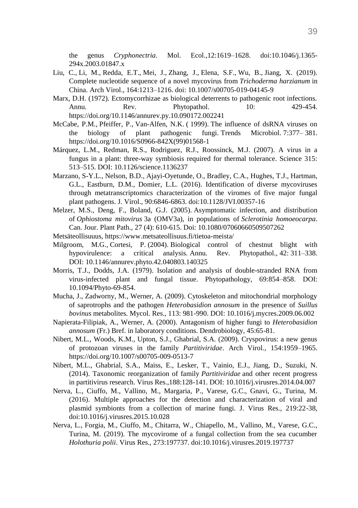the genus *Cryphonectria*. Mol. Ecol.,12:1619–1628. [doi](https://en.wikipedia.org/wiki/Digital_object_identifier)[:10.1046/j.1365-](https://doi.org/10.1046%2Fj.1365-294x.2003.01847.x) [294x.2003.01847.x](https://doi.org/10.1046%2Fj.1365-294x.2003.01847.x)

- [Liu,](https://www.ncbi.nlm.nih.gov/pubmed/?term=Liu%20C%5BAuthor%5D&cauthor=true&cauthor_uid=30746561) C., Li, [M.](https://www.ncbi.nlm.nih.gov/pubmed/?term=Li%20M%5BAuthor%5D&cauthor=true&cauthor_uid=30746561), [Redda,](https://www.ncbi.nlm.nih.gov/pubmed/?term=Redda%20ET%5BAuthor%5D&cauthor=true&cauthor_uid=30746561) E.T., [Mei,](https://www.ncbi.nlm.nih.gov/pubmed/?term=Mei%20J%5BAuthor%5D&cauthor=true&cauthor_uid=30746561) J., [Zhang,](https://www.ncbi.nlm.nih.gov/pubmed/?term=Zhang%20J%5BAuthor%5D&cauthor=true&cauthor_uid=30746561) J., [Elena,](https://www.ncbi.nlm.nih.gov/pubmed/?term=Elena%20SF%5BAuthor%5D&cauthor=true&cauthor_uid=30746561) S.F., [Wu,](https://www.ncbi.nlm.nih.gov/pubmed/?term=Wu%20B%5BAuthor%5D&cauthor=true&cauthor_uid=30746561) B., [Jiang,](https://www.ncbi.nlm.nih.gov/pubmed/?term=Jiang%20X%5BAuthor%5D&cauthor=true&cauthor_uid=30746561) X. (2019). Complete nucleotide sequence of a novel mycovirus from *Trichoderma harzianum* in China. [Arch Virol.](https://www.ncbi.nlm.nih.gov/pmc/articles/PMC6420475/), 164:1213–1216. doi: [10.1007/s00705-019-04145-9](https://dx.doi.org/10.1007%2Fs00705-019-04145-9)
- Marx, D.H. (1972). Ectomycorrhizae as biological deterrents to pathogenic root infections. Annu. Rev. Phytopathol. 10: 429-454. <https://doi.org/10.1146/annurev.py.10.090172.002241>
- McCabe, P.M., Pfeiffer, P., Van-Alfen, N.K. ( 1999). The influence of dsRNA viruses on the biology of plant pathogenic fungi. Trends Microbiol. 7:377– 381. [https://doi.org/10.1016/S0966-842X\(99\)01568-1](https://doi.org/10.1016/S0966-842X(99)01568-1)
- Márquez, L.M., Redman, R.S., Rodriguez, R.J., Roossinck, M.J. (2007). A virus in a fungus in a plant: three-way symbiosis required for thermal tolerance. Science 315: 513–515. DOI: 10.1126/science.1136237
- Marzano, S-Y.L., Nelson, B.D., Ajayi-Oyetunde, O., Bradley, C.A., Hughes, T.J., Hartman, G.L., Eastburn, D.M., Domier, L.L. (2016). Identification of diverse mycoviruses through metatranscriptomics characterization of the viromes of five major fungal plant pathogens. J. Virol., 90:6846-6863. doi:10.1128/JVI.00357-16
- Melzer, M.S., Deng, F., Boland, G.J. (2005). [Asymptomatic infection, and distribution](https://en.wikipedia.org/wiki/Sclerotinia_homoeocarpa)  of *Ophiostoma mitovirus* [3a \(OMV3a\), in populations of](https://en.wikipedia.org/wiki/Sclerotinia_homoeocarpa) *Sclerotinia homoeocarpa*. Can. Jour. Plant Path., 27 (4): 610-615. [Doi:](https://en.wikipedia.org/wiki/Digital_object_identifier) [10.1080/07060660509507262](https://doi.org/10.1080%2F07060660509507262)
- Metsäteollisuuus,<https://www.metsateollisuus.fi/tietoa-meista/>
- Milgroom, M.G., Cortesi, P. (2004). Biological control of chestnut blight with hypovirulence: a critical analysis. Annu. Rev. Phytopathol., 42: 311–338. DOI: [10.1146/annurev.phyto.42.040803.140325](https://doi.org/10.1146/annurev.phyto.42.040803.140325)
- Morris, T.J., Dodds, J.A. (1979). Isolation and analysis of double-stranded RNA from virus-infected plant and fungal tissue. Phytopathology, 69:854–858. DOI: 10.1094/Phyto-69-854.
- Mucha, J., Zadworny, M., Werner, A. (2009). Cytoskeleton and mitochondrial morphology of saprotrophs and the pathogen *Heterobasidion annosum* in the presence of *Suillus bovinus* metabolites. Mycol. Res., 113: 981-990. DOI: [10.1016/j.mycres.2009.06.002](https://doi.org/10.1016/j.mycres.2009.06.002)
- Napierata-Filipiak, A., Werner, A. (2000). Antagonism of higher fungi to *Heterobasidion annosum* (Fr.) Bref. in laboratory conditions. Dendrobiology, 45:65-81.
- Nibert, M.L., Woods, K.M., Upton, S.J., Ghabrial, S.A. (2009). Cryspovirus: a new genus of protozoan viruses in the family *Partitiviridae*. Arch Virol., 154:1959–1965. <https://doi.org/10.1007/s00705-009-0513-7>
- Nibert, M.L., Ghabrial, S.A., Maiss, E., Lesker, T., Vainio, E.J., Jiang, D., Suzuki, N. (2014). Taxonomic reorganization of family *Partitiviridae* and other recent progress in partitivirus research. Virus Res.,188:128-141. DOI: [10.1016/j.virusres.2014.04.007](https://doi.org/10.1016/j.virusres.2014.04.007)
- Nerva, L., Ciuffo, M., Vallino, M., Margaria, P., Varese, G.C., Gnavi, G., Turina, M. (2016). Multiple approaches for the detection and characterization of viral and plasmid symbionts from a collection of marine fungi. J. Virus Res., 219:22-38, doi:10.1016/j.virusres.2015.10.028
- Nerva, L., Forgia, M., Ciuffo, M., Chitarra, W., Chiapello, M., Vallino, M., Varese, G.C., Turina, M. (2019). The mycovirome of a fungal collection from the sea cucumber *Holothuria polii*. Virus Res., 273:197737. doi:10.1016/j.virusres.2019.197737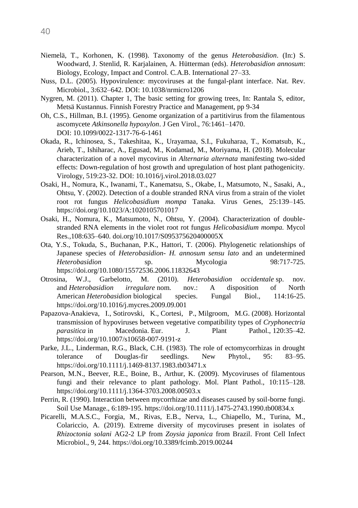- Niemelä, T., Korhonen, K. (1998). Taxonomy of the genus *Heterobasidion*. (In:) S. Woodward, J. Stenlid, R. Karjalainen, A. Hütterman (eds). *Heterobasidion annosum*: Biology, Ecology, Impact and Control. C.A.B. International 27–33.
- Nuss, D.L. (2005). Hypovirulence: mycoviruses at the fungal-plant interface. Nat. Rev. Microbiol., 3:632–642. DOI: [10.1038/nrmicro1206](https://doi.org/10.1038/nrmicro1206)
- Nygren, M. (2011). Chapter 1, The basic setting for growing trees, In: Rantala S, editor, Metsä Kustannus. Finnish Forestry Practice and Management, pp 9-34
- Oh, C.S., Hillman, B.I. (1995). Genome organization of a partitivirus from the filamentous ascomycete *Atkinsonella hypoxylon*. J Gen Virol., 76:1461–1470. DOI: [10.1099/0022-1317-76-6-1461](https://doi.org/10.1099/0022-1317-76-6-1461)
- Okada, R., Ichinosea, S., Takeshitaa, K., Urayamaa, S.I., Fukuharaa, T., Komatsub, K., Arieb, T., Ishiharac, A., Egusad, M., Kodamad, M., Moriyama, H. (2018). Molecular characterization of a novel mycovirus in *Alternaria alternata* manifesting two-sided effects: Down-regulation of host growth and upregulation of host plant pathogenicity. Virology, 519:23-32. DOI: [10.1016/j.virol.2018.03.027](https://doi.org/10.1016/j.virol.2018.03.027)
- Osaki, H., Nomura, K., Iwanami, T., Kanematsu, S., Okabe, I., Matsumoto, N., Sasaki, A., Ohtsu, Y. (2002). Detection of a double stranded RNA virus from a strain of the violet root rot fungus *Helicobasidium mompa* Tanaka. Virus Genes, 25:139–145. <https://doi.org/10.1023/A:1020105701017>
- Osaki, H., Nomura, K., Matsumoto, N., Ohtsu, Y. (2004). Characterization of doublestranded RNA elements in the violet root rot fungus *Helicobasidium mompa.* Mycol Res.,108:635–640. [doi.org/10.1017/S095375620400005X](https://doi.org/10.1017/S095375620400005X)
- Ota, Y.S., Tokuda, S., Buchanan, P.K., Hattori, T. (2006). Phylogenetic relationships of Japanese species of *Heterobasidion*- *H. annosum sensu lato* and an undetermined *Heterobasidion* sp. Mycologia 98:717-725. <https://doi.org/10.1080/15572536.2006.11832643>
- Otrosina, W.J., Garbelotto, M. (2010). *Heterobasidion occidentale* sp. nov. and *Heterobasidion irregulare* nom. nov.: A disposition of North American *Heterobasidion* biological species. Fungal Biol., 114:16-25. <https://doi.org/10.1016/j.mycres.2009.09.001>
- Papazova-Anakieva, I., Sotirovski, K., Cortesi, P., Milgroom, M.G. (2008). Horizontal transmission of hypoviruses between vegetative compatibility types of *Cryphonectria parasitica* in Macedonia. Eur. J. Plant Pathol., 120:35–42. <https://doi.org/10.1007/s10658-007-9191-z>
- Parke, J.L., Linderman, R.G., Black, C.H. (1983). The role of ectomycorrhizas in drought tolerance of Douglas-fir seedlings. New Phytol., 95: 83–95. <https://doi.org/10.1111/j.1469-8137.1983.tb03471.x>
- Pearson, M.N., Beever, R.E., Boine, B., Arthur, K. (2009). Mycoviruses of filamentous fungi and their relevance to plant pathology. Mol. Plant Pathol., 10:115–128. <https://doi.org/10.1111/j.1364-3703.2008.00503.x>
- Perrin, R. (1990). Interaction between mycorrhizae and diseases caused by soil-borne fungi. Soil Use Manage., 6:189-195. <https://doi.org/10.1111/j.1475-2743.1990.tb00834.x>
- Picarelli, M.A.S.C., Forgia, M., Rivas, E.B., Nerva, L., Chiapello, M., Turina, M., Colariccio, A. (2019). Extreme diversity of mycoviruses present in isolates of *Rhizoctonia solani* AG2-2 LP from *Zoysia japonica* from Brazil. Front Cell Infect Microbiol., 9, 244[. https://doi.org/10.3389/fcimb.2019.00244](https://doi.org/10.3389/fcimb.2019.00244)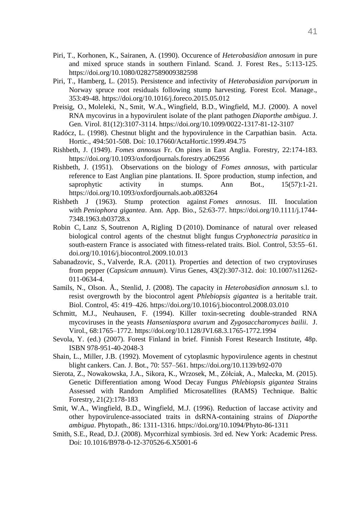- Piri, T., Korhonen, K., Sairanen, A. (1990). Occurence of *Heterobasidion annosum* in pure and mixed spruce stands in southern Finland. Scand. J. Forest Res., 5:113-125. <https://doi.org/10.1080/02827589009382598>
- Piri, T., Hamberg, L. (2015). Persistence and infectivity of *Heterobasidion parviporum* in Norway spruce root residuals following stump harvesting. Forest Ecol. Manage., 353:49-48.<https://doi.org/10.1016/j.foreco.2015.05.012>
- [Preisig,](https://www.microbiologyresearch.org/search?value1=O.+Preisig&option1=author&noRedirect=true) O., [Moleleki,](https://www.microbiologyresearch.org/search?value1=N.+Moleleki&option1=author&noRedirect=true) N., [Smit,](https://www.microbiologyresearch.org/search?value1=W.+A.+Smit&option1=author&noRedirect=true) W.A., [Wingfield,](https://www.microbiologyresearch.org/search?value1=B.+D.+Wingfield&option1=author&noRedirect=true) B.D., [Wingfield,](https://www.microbiologyresearch.org/search?value1=M.+J.+Wingfield&option1=author&noRedirect=true) M.J. (2000). A novel RNA mycovirus in a hypovirulent isolate of the plant pathogen *Diaporthe ambigua*. J. Gen. Virol. 81(12):3107-3114[. https://doi.org/10.1099/0022-1317-81-12-3107](https://doi.org/10.1099/0022-1317-81-12-3107)
- Radócz, L. (1998). Chestnut blight and the hypovirulence in the Carpathian basin. Acta. Hortic., 494:501-508. Doi[: 10.17660/ActaHortic.1999.494.75](https://doi.org/10.17660/ActaHortic.1999.494.75)
- Rishbeth, J. (1949). *Fomes annosus* Fr. On pines in East Anglia. Forestry, 22:174-183. <https://doi.org/10.1093/oxfordjournals.forestry.a062956>
- Rishbeth, J. (1951). Observations on the biology of *Fomes annosus*, with particular reference to East Anglian pine plantations. II. Spore production, stump infection, and saprophytic activity in stumps. Ann Bot., 15(57):1-21. <https://doi.org/10.1093/oxfordjournals.aob.a083264>
- Rishbeth J (1963). Stump protection against *Fomes annosus*. III. Inoculation with *Peniophora gigantea*. Ann. App. Bio., 52:63-77. [https://doi.org/10.1111/j.1744-](https://doi.org/10.1111/j.1744-7348.1963.tb03728.x) [7348.1963.tb03728.x](https://doi.org/10.1111/j.1744-7348.1963.tb03728.x)
- Robin C, Lanz S, Soutrenon A, Rigling D (2010). Dominance of natural over released biological control agents of the chestnut blight fungus *Cryphonectria parasitica* in south-eastern France is associated with fitness-related traits. Biol. Control, 53:55–61. [doi.org/10.1016/j.biocontrol.2009.10.013](https://doi.org/10.1016/j.biocontrol.2009.10.013)
- [Sabanadzovic,](https://www.ncbi.nlm.nih.gov/pubmed/?term=Sabanadzovic%20S%5BAuthor%5D&cauthor=true&cauthor_uid=21695493) S., [Valverde,](https://www.ncbi.nlm.nih.gov/pubmed/?term=Valverde%20RA%5BAuthor%5D&cauthor=true&cauthor_uid=21695493) R.A. (2011). Properties and detection of two cryptoviruses from pepper (*Capsicum annuum*). Virus Genes, 43(2):307-312. doi: 10.1007/s11262- 011-0634-4.
- Samils, N., Olson. Å., Stenlid, J. (2008). The capacity in *Heterobasidion annosum* s.l. to resist overgrowth by the biocontrol agent *Phlebiopsis gigantea* is a heritable trait. Biol. Control, 45: 419–426. <https://doi.org/10.1016/j.biocontrol.2008.03.010>
- Schmitt, M.J., Neuhausen, F. (1994). Killer toxin-secreting double-stranded RNA mycoviruses in the yeasts *Hanseniaspora uvarum* and *Zygosaccharomyces bailii*. J. Virol., 68:1765–1772. https://doi.org/10.1128/JVI.68.3.1765-1772.1994
- Sevola, Y. (ed.) (2007). Forest Finland in brief. Finnish Forest Research Institute, 48p. ISBN 978-951-40-2048-3
- Shain, L., Miller, J.B. (1992). Movement of cytoplasmic hypovirulence agents in chestnut blight cankers. Can. J. Bot., 70: 557–561. <https://doi.org/10.1139/b92-070>
- Sierota, Z., Nowakowska, J.A., Sikora, K., Wrzosek, M., Zółciak, A., Małecka, M. (2015). Genetic Differentiation among Wood Decay Fungus *Phlebiopsis gigantea* Strains Assessed with Random Amplified Microsatellites (RAMS) Technique. Baltic Forestry, 21(2):178-183
- Smit, W.A., Wingfield, B.D., Wingfield, M.J. (1996). Reduction of laccase activity and other hypovirulence-associated traits in dsRNA-containing strains of *Diaporthe ambigua*. Phytopath., 86: 1311-1316. https://doi.org/10.1094/Phyto-86-1311
- Smith, S.E., Read, D.J. (2008). Mycorrhizal symbiosis. 3rd ed. New York: Academic Press. Doi: 10.1016/B978-0-12-370526-6.X5001-6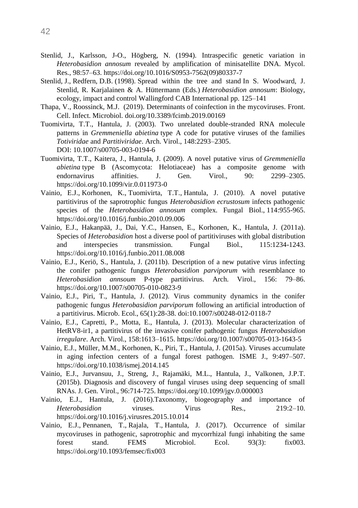- Stenlid, J., Karlsson, J-O., Högberg, N. (1994). Intraspecific genetic variation in *Heterobasidion annosum* revealed by amplification of minisatellite DNA. Mycol. Res., 98:57–63. [https://doi.org/10.1016/S0953-7562\(09\)80337-7](https://doi.org/10.1016/S0953-7562(09)80337-7)
- Stenlid, J., Redfern, D.B. (1998). Spread within the tree and stand In S. Woodward, J. Stenlid, R. Karjalainen & A. Hüttermann (Eds.) *Heterobasidion annosum*: Biology, ecology, impact and control Wallingford CAB International pp. 125–141
- Thapa, V., Roossinck, M.J. (2019). Determinants of coinfection in the mycoviruses. Front. Cell. Infect. Microbiol. [doi.org/10.3389/fcimb.2019.00169](https://doi.org/10.3389/fcimb.2019.00169)
- Tuomivirta, T.T., Hantula, J. (2003). Two unrelated double-stranded RNA molecule patterns in *Gremmeniella abietina* type A code for putative viruses of the families *Totiviridae* and *Partitiviridae*. Arch. Virol., 148:2293–2305. DOI: 10.1007/s00705-003-0194-6
- Tuomivirta, T.T., Kaitera, J., Hantula, J. (2009). A novel putative virus of *Gremmeniella abietina* type B (Ascomycota: Helotiaceae) has a composite genome with endornavirus affinities. J. Gen. Virol., 90: 2299–2305. <https://doi.org/10.1099/vir.0.011973-0>
- [Vainio,](https://www.ncbi.nlm.nih.gov/pubmed/?term=Vainio%20EJ%5BAuthor%5D&cauthor=true&cauthor_uid=21036340) E.J., [Korhonen,](https://www.ncbi.nlm.nih.gov/pubmed/?term=Korhonen%20K%5BAuthor%5D&cauthor=true&cauthor_uid=21036340) K., [Tuomivirta,](https://www.ncbi.nlm.nih.gov/pubmed/?term=Tuomivirta%20TT%5BAuthor%5D&cauthor=true&cauthor_uid=21036340) T.T., [Hantula,](https://www.ncbi.nlm.nih.gov/pubmed/?term=Hantula%20J%5BAuthor%5D&cauthor=true&cauthor_uid=21036340) J. (2010). A novel putative partitivirus of the saprotrophic fungus *Heterobasidion ecrustosum* infects pathogenic species of the *Heterobasidion annosum* complex. [Fungal Biol.,](https://www.ncbi.nlm.nih.gov/pubmed/21036340) 114:955-965. <https://doi.org/10.1016/j.funbio.2010.09.006>
- Vainio, E.J., Hakanpää, J., Dai, Y.C., Hansen, E., Korhonen, K., Hantula, J. (2011a). Species of *Heterobasidion* host a diverse pool of partitiviruses with global distribution and interspecies transmission. Fungal Biol., 115:1234-1243. <https://doi.org/10.1016/j.funbio.2011.08.008>
- Vainio, E.J., Keriö, S., Hantula, J. (2011b). Description of a new putative virus infecting the conifer pathogenic fungus *Heterobasidion parviporum* with resemblance to *Heterobasidion annsoum* P-type partitivirus. Arch. Virol., 156: 79–86. <https://doi.org/10.1007/s00705-010-0823-9>
- Vainio, E.J., Piri, T., Hantula, J. (2012). Virus community dynamics in the conifer pathogenic fungus *Heterobasidion parviporum* following an artificial introduction of a partitivirus. Microb. Ecol., 65(1):28-38. doi:10.1007/s00248-012-0118-7
- Vainio, E.J., Capretti, P., Motta, E., Hantula, J. (2013). Molecular characterization of HetRV8-ir1, a partitivirus of the invasive conifer pathogenic fungus *Heterobasidion irregulare*. Arch. Virol., 158:1613–1615. https://doi.org/10.1007/s00705-013-1643-5
- Vainio, E.J., Müller, M.M., Korhonen, K., Piri, T., Hantula, J. (2015a). Viruses accumulate in aging infection centers of a fungal forest pathogen. ISME J., 9:497–507. https://doi.org/10.1038/ismej.2014.145
- Vainio, E.J., Jurvansuu, J., Streng, J., Rajamäki, M.L., Hantula, J., Valkonen, J.P.T. (2015b). Diagnosis and discovery of fungal viruses using deep sequencing of small RNAs. J. Gen. Virol., 96:714-725. <https://doi.org/10.1099/jgv.0.000003>
- Vainio, E.J., Hantula, J. (2016).Taxonomy, biogeography and importance of *Heterobasidion* viruses. Virus Res., 219:2–10. <https://doi.org/10.1016/j.virusres.2015.10.014>
- [Vainio,](javascript:;) E.J., [Pennanen,](javascript:;) T., [Rajala,](javascript:;) T., [Hantula,](javascript:;) J. (2017). Occurrence of similar mycoviruses in pathogenic, saprotrophic and mycorrhizal fungi inhabiting the same forest stand. FEMS Microbiol. Ecol. 93(3): fix003. <https://doi.org/10.1093/femsec/fix003>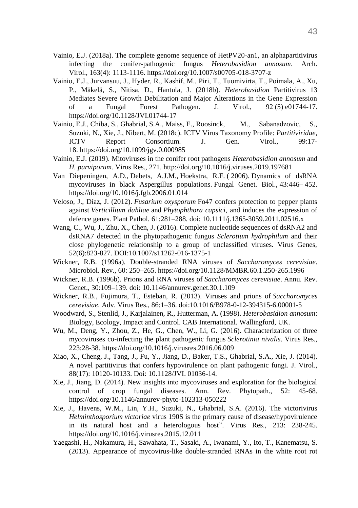- Vainio, E.J. (2018a). The complete genome sequence of HetPV20-an1, an alphapartitivirus infecting the conifer-pathogenic fungus *Heterobasidion annosum*. Arch. Virol., 163(4): 1113-1116. https://doi.org/10.1007/s00705-018-3707-z
- Vainio, E.J., Jurvansuu, J., Hyder, R., Kashif, M., Piri, T., Tuomivirta, T., Poimala, A., Xu, P., Mäkelä, S., Nitisa, D., Hantula, J. (2018b). *Heterobasidion* Partitivirus 13 Mediates Severe Growth Debilitation and Major Alterations in the Gene Expression of a Fungal Forest Pathogen. J. Virol., 92 (5) e01744-17. <https://doi.org/10.1128/JVI.01744-17>
- Vainio, E.J., Chiba, S., Ghabrial, S.A., Maiss, E., Roosinck, M., Sabanadzovic, S., Suzuki, N., Xie, J., Nibert, M. (2018c). ICTV Virus Taxonomy Profile: *Partitiviridae*, ICTV Report Consortium. J. Gen. Virol., 99:17- 18. <https://doi.org/10.1099/jgv.0.000985>
- Vainio, E.J. (2019). Mitoviruses in the conifer root pathogens *Heterobasidion annosum* and *H. parviporum*. Virus Res., 271. http://doi.org/10.1016/j.viruses.2019.197681
- Van Diepeningen, A.D., Debets, A.J.M., Hoekstra, R.F. ( 2006). Dynamics of dsRNA mycoviruses in black Aspergillus populations. Fungal Genet. Biol., 43:446– 452. <https://doi.org/10.1016/j.fgb.2006.01.014>
- Veloso, J., Díaz, J. (2012). *Fusarium oxysporum* Fo47 confers protection to pepper plants against *Verticillium dahliae* and *Phytophthora capsici*, and induces the expression of defence genes. Plant Pathol. 61:281–288. doi: 10.1111/j.1365-3059.2011.02516.x
- [Wang,](https://www.ncbi.nlm.nih.gov/pubmed/?term=Wang%20C%5BAuthor%5D&cauthor=true&cauthor_uid=27473231) C., [Wu,](https://www.ncbi.nlm.nih.gov/pubmed/?term=Wu%20J%5BAuthor%5D&cauthor=true&cauthor_uid=27473231) J., [Zhu,](https://www.ncbi.nlm.nih.gov/pubmed/?term=Zhu%20X%5BAuthor%5D&cauthor=true&cauthor_uid=27473231) X., [Chen,](https://www.ncbi.nlm.nih.gov/pubmed/?term=Chen%20J%5BAuthor%5D&cauthor=true&cauthor_uid=27473231) J. (2016). Complete nucleotide sequences of dsRNA2 and dsRNA7 detected in the phytopathogenic fungus *Sclerotium hydrophilum* and their close phylogenetic relationship to a group of unclassified viruses. Virus Genes, 52(6):823-827. DOI[:10.1007/s11262-016-1375-1](https://doi.org/10.1007/s11262-016-1375-1)
- Wickner, R.B. (1996a). Double-stranded RNA viruses of *Saccharomyces cerevisiae*. Microbiol. Rev., 60: 250–265. https://doi.org/10.1128/MMBR.60.1.250-265.1996
- Wickner, R.B. (1996b). Prions and RNA viruses of *Saccharomyces cerevisiae*. Annu. Rev. Genet., 30:109–139. doi: 10.1146/annurev.genet.30.1.109
- Wickner, R.B., Fujimura, T., Esteban, R. (2013). Viruses and prions of *Saccharomyces cerevisiae*. Adv. Virus Res., 86:1–36. doi:10.1016/B978-0-12-394315-6.00001-5
- Woodward, S., Stenlid, J., Karjalainen, R., Hutterman, A. (1998). *Heterobasidion annosum*: Biology, Ecology, Impact and Control. CAB International. Wallingford, UK.
- Wu, M., Deng, Y., Zhou, Z., He, [G., Chen,](https://www.sciencedirect.com/science/article/abs/pii/S0168170216301605#!) W., Li, G. (2016). Characterization of three mycoviruses co-infecting the plant pathogenic fungus *Sclerotinia nivalis*. Virus Res., 223:28-38.<https://doi.org/10.1016/j.virusres.2016.06.009>
- Xiao, X., Cheng, J., Tang, J., Fu, Y., Jiang, D., Baker, T.S., Ghabrial, S.A., Xie, J. (2014). A novel partitivirus that confers hypovirulence on plant pathogenic fungi. J. Virol., 88(17): 10120-10133. Doi: 10.1128/JVI. 01036-14.
- Xie, J., Jiang, D. (2014). New insights into mycoviruses and exploration for the biological control of crop fungal diseases. Ann. Rev. Phytopath., 52: 45-68. <https://doi.org/10.1146/annurev-phyto-102313-050222>
- Xie, J., Havens, W.M., Lin, Y.H., Suzuki, N., Ghabrial, S.A. (2016). The victorivirus *Helminthosporium victoriae* virus 190S is the primary cause of disease/hypovirulence in its natural host and a heterologous host". Virus Res., 213: 238-245. <https://doi.org/10.1016/j.virusres.2015.12.011>
- Yaegashi, H., Nakamura, H., Sawahata, T., Sasaki, A., Iwanami, Y., Ito, T., Kanematsu, S. (2013). Appearance of mycovirus-like double-stranded RNAs in the white root rot